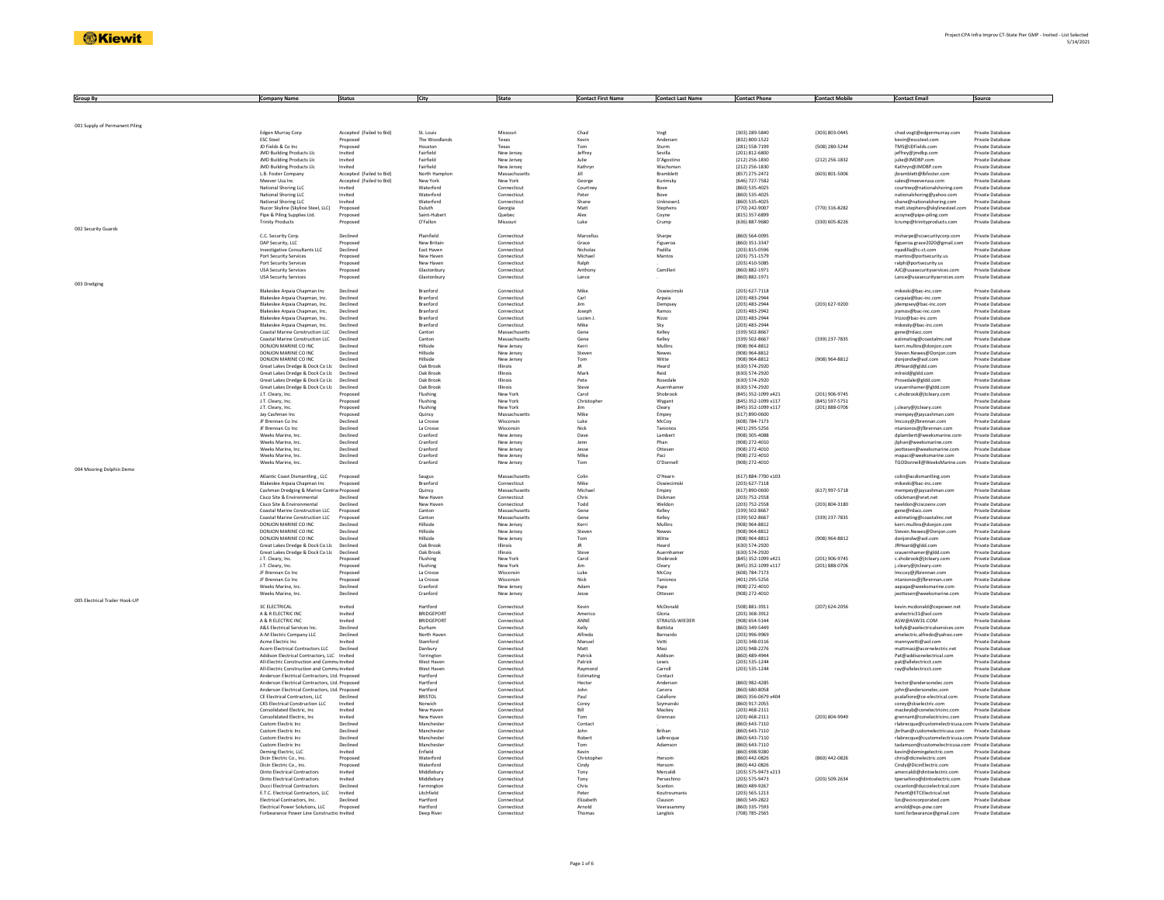| <b>Group By</b>                | <b>Company Name</b>                                                                              | <b>Status</b>            | City                          | State                          | <b>Contact First Name</b>         | <b>Contact Last Name</b> | <b>Contact Phone</b>                  | <b>Contact Mobile</b> | <b>Contact Email</b>                                                               | Source                               |
|--------------------------------|--------------------------------------------------------------------------------------------------|--------------------------|-------------------------------|--------------------------------|-----------------------------------|--------------------------|---------------------------------------|-----------------------|------------------------------------------------------------------------------------|--------------------------------------|
|                                |                                                                                                  |                          |                               |                                |                                   |                          |                                       |                       |                                                                                    |                                      |
|                                |                                                                                                  |                          |                               |                                |                                   |                          |                                       |                       |                                                                                    |                                      |
|                                |                                                                                                  |                          |                               |                                |                                   |                          |                                       |                       |                                                                                    |                                      |
| 001 Supply of Permanent Piling | Edgen Murray Corp                                                                                | Accepted (Failed to Bid  | St. Louis                     | Missour                        | Chad                              | Vogt                     | (303) 289-5840                        | (303) 803-0445        | chad.vogt@edgenmurray.com                                                          | Private Databas                      |
|                                | <b>ESC Steel</b>                                                                                 | Proposed                 | The Woodlands                 | Texas                          | Kevin                             | Anderser                 | (832) 800-1522                        |                       | kevin@escsteel.com                                                                 | Private Database                     |
|                                | ID Fields & Co Inc.                                                                              | Proposed                 | Houston                       | Texas                          | Tom                               | Sturm                    | (281) 558-7199                        | (508) 280-5244        | TMS@IDFields.com                                                                   | Private Database                     |
|                                | <b>JMD Building Products Llc</b><br>JMD Building Products Llc                                    | Invited<br>Invited       | Fairfield<br>Fairfield        | New Jersey<br>New Jersey       | Jeffrey<br>Julie                  | Sevilla<br>D'Agostino    | (201) 812-6800<br>$(212)$ 256-1830    | $(212)$ 256-1832      | ieffrey@imdbp.com<br>julie@JMDBP.com                                               | Private Database<br>Private Database |
|                                | <b>JMD Building Products Llc</b>                                                                 | Invited                  | Fairfield                     | New Jersey                     | Kathryn                           | Wachsman                 | (212) 256-1830                        |                       | Kathryn@JMDBP.com                                                                  | Private Database                     |
|                                | L.B. Foster Company                                                                              | Accepted (Failed to Bid) | North Hampto                  | Massachusett                   |                                   | Bramblett                | (857) 275-2472                        | $(603) 801 - 5006$    | jbramblett@lbfoster.com                                                            | Private Databas                      |
|                                | Meever Usa Inc                                                                                   | Accepted (Failed to Bid) | New York                      | New York                       | George                            | Kurimsky                 | (646) 727-7582                        |                       | sales@meeverusa.com                                                                | Private Database                     |
|                                | National Shoring LLC<br>National Shoring LLC                                                     | Invited<br>Invited       | Waterford<br>Waterford        | Connecticut<br>Connecticut     | Courtney<br>Peter                 | Rove<br>Bove             | (860) 535-4025<br>(860) 535-4025      |                       | courtney@nationalshoring.com<br>nationalshoring@yahoo.com                          | Private Database<br>Private Database |
|                                | National Shoring LLC                                                                             | Invited                  | Waterford                     | Connecticut                    | Shane                             | Unknown1                 | (860) 535-4025                        |                       | shane@nationalshoring.com                                                          | Private Database                     |
|                                | Nucor Skyline (Skyline Steel, LLC)                                                               | Proposer                 | Duluth                        | Georgia                        | Matt                              | Stephens                 | (770) 242-9007                        | (770) 316-8282        | matt.stephens@skylinesteel.com                                                     | Private Database                     |
|                                | Pipe & Piling Supplies Ltd.                                                                      | Proposed                 | Saint-Hubert                  | Quebec                         | Alex                              | Coyne                    | (815) 357-6899                        |                       | acoyne@pipe-piling.com                                                             | Private Database                     |
| 002 Security Guards            | <b>Trinity Products</b>                                                                          | Proposed                 | O'Fallon                      | Missouri                       | Tuke                              | Crump                    | (636) 887-9680                        | (330) 605-8226        | lcrump@trinityproducts.com                                                         | Private Database                     |
|                                | C.C. Security Corp.                                                                              | Declined                 | Plainfield                    | Connecticut                    | Marcellus                         | Sharpe                   | (860) 564-0095                        |                       | msharpe@ccsecuritycorp.com                                                         | Private Database                     |
|                                | DAP Security, LLC                                                                                | Proposed                 | New Britain                   | Connecticut                    | Grace                             | Figueroa                 | (860) 351-3347                        |                       | figueroa.grace2020@gmail.com                                                       | Private Database                     |
|                                | <b>Investigative Consultants LLC</b>                                                             | Declined                 | East Haven                    | Connecticu                     | Nichola:                          | Padilla                  | (203) 815-0596                        |                       | npadilla@ic-ct.com                                                                 | Private Database                     |
|                                | Port Security Services<br>Port Security Services                                                 | Proposed<br>Proposed     | New Haver<br>New Haven        | Connecticut<br>Connecticut     | Michael<br>Ralph                  | Mantos                   | (203) 751-1579<br>(203) 410-5085      |                       | mantos@portsecurity.us                                                             | Private Databas<br>Private Database  |
|                                | <b>USA Security Services</b>                                                                     | Proposed                 | Glastophury                   | Connecticut                    | Anthony                           | Camilleri                | (860) 882-1971                        |                       | ralph@portsecurity.us<br>AIC@usasecurityservices.com                               | Private Database                     |
|                                | <b>USA Security Services</b>                                                                     | Proposed                 | Glastonbury                   | Connecticut                    | Lance                             |                          | (860) 882-1971                        |                       | Lance@usasecurityservices.com                                                      | Private Database                     |
| 003 Dredging                   |                                                                                                  |                          |                               |                                |                                   |                          |                                       |                       |                                                                                    |                                      |
|                                | Blakeslee Arpaia Chapman Inc                                                                     | Declined                 | Branford                      | Connecticu                     | Mike                              | Oswiecimsk               | (203) 627-7118                        |                       | mikeski@bac-inc.com                                                                | Private Database                     |
|                                | Blakeslee Arpaia Chapman, Inc.<br>Blakeslee Arpaia Chapman, Inc.                                 | Declined<br>Declined     | Branford<br><b>Branford</b>   | Connecticu<br>Connecticut      | Carl<br>lim                       | Arpaia<br>Dempsey        | (203) 483-2944<br>(203) 483-2944      | (203) 627-9200        | carpaia@bac-inc.com<br>jdempsey@bac-inc.com                                        | Private Database<br>Private Database |
|                                | Blakeslee Arpaia Chapman, Inc.                                                                   | Declined                 | <b>Branford</b>               | Connecticut                    | Insenh                            | Ramos                    | (203) 483-2942                        |                       | iramos@hac-inc.com                                                                 | Private Database                     |
|                                | Blakeslee Arpaia Chapman, Inc.                                                                   | Declined                 | Branford                      | Connecticut                    | Lucien J                          | Rizzo                    | (203) 483-2944                        |                       | Irizzo@bac-inc.com                                                                 | Private Database                     |
|                                | Blakeslee Arpaia Chapman, Inc.                                                                   | Declined                 | Branford                      | Connecticut                    | Mike                              | Sky                      | $(203)$ 483-2944                      |                       | mikesky@bac-inc.com                                                                | Private Database                     |
|                                | <b>Coastal Marine Construction LLC</b><br>Coastal Marine Construction LLC                        | Declined<br>Declined     | Canton<br>Canton              | Massachusett:<br>Massachusett: | Gene<br>Gene                      | Kelley                   | (339) 502-8667<br>(339) 502-8667      | (339) 237-7835        | gene@rdacc.com<br>estimating@coastalmc.net                                         | Private Databas<br>Private Databas   |
|                                | DONJON MARINE CO INC                                                                             | Declined                 | Hilkide                       | New Jersey                     | Kerri                             | Kelley<br>Mullins        | (908) 964-8812                        |                       | kerri.mullins@donjon.com                                                           | Private Database                     |
|                                | DONION MARINE CO INC.                                                                            | Declined                 | Hilkide                       | New Jersey                     | Stever                            | Newes                    | (908) 964-8812                        |                       | Steven.Newes@Donjon.com                                                            | Private Database                     |
|                                | DONJON MARINE CO INC                                                                             | Declined                 | Hillside                      | New Jersey                     | Tom                               | Witte                    | (908) 964-8812                        | (908) 964-8812        | donjondw@aol.com                                                                   | Private Database                     |
|                                | Great Lakes Dredge & Dock Co Llc                                                                 | Declined                 | Oak Brook                     | Illinois                       | JR                                | Heard                    | (630) 574-2920                        |                       | JRHeard@gldd.com                                                                   | Private Database                     |
|                                | Great Lakes Dredge & Dock Co Llc<br>Great Lakes Dredge & Dock Co Llc                             | Decliner<br>Declined     | Oak Brook<br>Oak Brook        | Illinois<br>Illinois           | Mark<br>Pete                      | Reid<br>Rosedale         | (630) 574-2920<br>(630) 574-2920      |                       | mlreid@gldd.com<br>Prosedale@gldd.com                                              | Private Database<br>Private Database |
|                                | Great Lakes Dredge & Dock Co Llc                                                                 | Declined                 | Oak Brook                     | Illinois                       | Steve                             | Auernhame                | (630) 574-2920                        |                       | srauernhamer@gldd.com                                                              | Private Database                     |
|                                | J.T. Cleary, Inc.                                                                                | Proposed                 | Flushing                      | New York                       | Carol                             | Shobrook                 | (845) 352-1099 x421                   | (201) 906-9745        | c.shobrook@itclearv.com                                                            | Private Database                     |
|                                | J.T. Cleary, Inc.                                                                                | Proposed                 | Flushing                      | New York                       | Christophe                        | Wygant                   | (845) 352-1099 x117                   | (845) 597-5751        |                                                                                    | Private Database                     |
|                                | J.T. Cleary, Inc.                                                                                | Proposed                 | Flushing                      | New York                       | Jim                               | Cleary                   | (845) 352-1099 x117                   | (201) 888-0706        | j.cleary@jtcleary.com                                                              | Private Database                     |
|                                | Jay Cashman Inc<br>JF Brennan Co Inc                                                             | Proposer<br>Declined     | Quincy<br>La Crosse           | Massachusett:<br>Wisconsin     | Mike<br>Luke                      | Empey                    | $(617) 890 - 0600$<br>(608) 784-7173  |                       | mempey@jaycashman.com<br>Imccoy@jfbrennan.com                                      | Private Databas<br>Private Database  |
|                                | JF Brennan Co Inc.                                                                               | Declined                 | La Crosse                     | Wisconsin                      | Nick                              | McCoy<br>Tanjonos        | (401) 295-5256                        |                       | ntanionos@ifbrennan.com                                                            | Private Database                     |
|                                | Weeks Marine, Inc.                                                                               | Declined                 | Cranford                      | New Jersey                     | Dave                              | Lambert                  | (908) 305-4088                        |                       | dolambert@weeksmarine.com                                                          | Private Database                     |
|                                | Weeks Marine, Inc.                                                                               | Declined                 | Cranford                      | New Jersey                     | Jenn                              | Phan                     | (908) 272-4010                        |                       | ilphan@weeksmarine.com                                                             | Private Database                     |
|                                | Weeks Marine, Inc.                                                                               | Declined                 | Cranford                      | New Jersey                     | Jesse                             | Otteser                  | (908) 272-4010                        |                       | jeottesen@weeksmarine.com                                                          | Private Database                     |
|                                | Weeks Marine, Inc<br>Weeks Marine, Inc.                                                          | Declined<br>Declined     | Cranford<br>Cranford          | New Jersey                     | Mike<br>Tom                       | Paci<br>O'Donnell        | (908) 272-4010                        |                       | mapaci@weeksmarine.com<br>TGODonnell@WeeksMarine.com                               | Private Database<br>Private Database |
| 004 Mooring Dolphin Demo       |                                                                                                  |                          |                               | New Jersey                     |                                   |                          | (908) 272-4010                        |                       |                                                                                    |                                      |
|                                | Atlantic Coast Dismantling, LLC                                                                  | Proposed                 | Saugus                        | Massachusetts                  | Colin                             | O'Hearn                  | (617) 884-7700 x103                   |                       | colin@acdismantling.com                                                            | Private Database                     |
|                                | Blakeslee Arpaia Chapman Inc.                                                                    | Proposed                 | Branford                      | Connecticut                    | Mike                              | Oswiecimsk               | (203) 627-7118                        |                       | mikeski@bac-inc.com                                                                | Private Database                     |
|                                | Cashman Dredging & Marine Contrar Proposed                                                       |                          | Quincy                        | Massachusetts                  | Michae                            | Empey                    | $(617) 890 - 0600$                    | $(617)$ 997-5718      | mempey@jaycashman.com                                                              | Private Database                     |
|                                | Cisco Site & Environmental<br>Cisco Site & Environmental                                         | Declined<br>Declined     | New Have<br>New Haver         | Connecticut<br>Connecticut     | Chris<br>Todd                     | Dickmar<br>Weldon        | (203) 752-2558<br>(203) 752-2558      | (203) 804-3180        | cdickman@snet.net<br>tweldon@ciscoenv.com                                          | Private Databas<br>Private Database  |
|                                | <b>Coastal Marine Construction LLC</b>                                                           | Proposed                 | Canton                        | Massachusetty                  | Gene                              | Kelley                   | (339) 502-8667                        |                       | gene@rdacc.com                                                                     | Private Database                     |
|                                | Coastal Marine Construction LLC                                                                  | Proposed                 | Canton                        | Massachusetts                  | Gene                              | Kelley                   | (339) 502-8667                        | (339) 237-7835        | estimating@coastalmc.net                                                           | Private Database                     |
|                                | DONJON MARINE CO INC                                                                             | Declined                 | Hillside                      | New Jersey                     | Kerri                             | Mullins                  | (908) 964-8812                        |                       | kerri.mullins@donion.com                                                           | Private Database                     |
|                                | DONJON MARINE CO INC<br>DONJON MARINE CO INC                                                     | Declined<br>Declined     | Hillside<br>Hillside          | New Jersey                     | Stever                            | Newes<br>Witte           | (908) 964-8812                        |                       | Steven.Newes@Donjon.com                                                            | Private Database<br>Private Databas  |
|                                | Great Lakes Dredge & Dock Co Llc                                                                 | Declined                 | Oak Brook                     | New Jersey<br>Illinois         | $\text{\tt Tom}$<br>JR.           | Heard                    | (908) 964-8812<br>(630) 574-2920      | (908) 964-8812        | donjondw@aol.com<br>JRHeard@gldd.com                                               | Private Database                     |
|                                | Great Lakes Dredge & Dock Co Llc                                                                 | Declined                 | Oak Brook                     | Illinois                       | Steve                             | Auernhame                | (630) 574-2920                        |                       | srauernhamer@gldd.com                                                              | Private Database                     |
|                                | J.T. Cleary, Inc.                                                                                | Proposed                 | Flushing                      | New York                       | Carol                             | Shobrook                 | (845) 352-1099 x421                   | (201) 906-9745        | c.shobrook@itcleary.com                                                            | Private Database                     |
|                                | J.T. Cleary, Inc.                                                                                | Proposed                 | Flushing                      | New York                       | Jim                               | Cleary                   | (845) 352-1099 x117                   | (201) 888-0706        | j.cleary@jtcleary.com                                                              | Private Database                     |
|                                | JF Brennan Co Inc<br>JF Brennan Co Inc                                                           | Proposed<br>Proposed     | La Crosse<br>La Crosse        | Wisconsin<br>Wisconsin         | Luke<br>$\operatorname{\sf Nick}$ | McCoy<br>Taniono:        | (608) 784-7173<br>(401) 295-5256      |                       | Imccoy@jfbrennan.com<br>ntanionos@jfbrennan.com                                    | Private Database<br>Private Database |
|                                | Weeks Marine, Inc                                                                                | Declined                 | Cranford                      | New Jersey                     | Adam                              | Papa                     | (908) 272-4010                        |                       | aapapa@weeksmarine.com                                                             | Private Database                     |
|                                | Weeks Marine, Inc.                                                                               | Declined                 | Cranford                      | New Jersey                     | Jesse                             | Otteser                  | (908) 272-4010                        |                       | ieottesen@weeksmarine.com                                                          | Private Database                     |
| 005 Electrical Trailer Hook-UP |                                                                                                  |                          |                               |                                |                                   |                          |                                       |                       |                                                                                    |                                      |
|                                | <b>3C ELECTRICAL</b><br>A & R ELECTRIC INC.                                                      | Invited<br>Invited       | Hartford<br><b>BRIDGEPORT</b> | Connecticut<br>Connecticut     | Kevin<br>Americo                  | McDonald<br>Gloria       | (508) 881-3911                        | $(207) 624 - 2056$    | kevin.mcdonald@cepower.net<br>arelectric31@aol.com                                 | Private Database<br>Private Database |
|                                | A & R ELECTRIC INC                                                                               | Invited                  | <b>BRIDGEPORT</b>             | Connecticut                    | ANNE                              | STRAUSS-WIFDER           | (203) 368-3912<br>(908) 654-5144      |                       | ASW@ASW31.COM                                                                      | Private Database                     |
|                                | A&S Electrical Services Inc                                                                      | Declined                 | Durham                        | Connecticut                    | Kelly                             | Battista                 | (860) 349-5449                        |                       | kellyb@aselectricalservices.con                                                    | Private Database                     |
|                                | A-M Electric Company LLC                                                                         | Declined                 | North Haven                   | Connecticut                    | Alfredo                           | Bernardo                 | (203) 996-9969                        |                       | amelectric.alfredo@vahoo.com                                                       | Private Database                     |
|                                | Acme Electric Inc.                                                                               | Invited                  | Stamford                      | Connecticut                    | Manuel<br>Matt                    | Vetti<br>Masi            | (203) 348-0116                        |                       | mannvvetti@aol.com                                                                 | Private Database                     |
|                                | Acorn Electrical Contractors LLC<br>Addison Electrical Contractors, LLC Invited                  | Declined                 | Danbury<br>Torringtor         | Connecticut<br>Connecticu      | Patrick                           | Addison                  | (203) 948-2276<br>(860) 489-4944      |                       | mattmasi@acornelectric.net<br>Pat@addisonelectrical.com                            | Private Database<br>Private Database |
|                                | All-Electric Construction and Commu Invited                                                      |                          | West Haver                    | Connecticut                    | Patrick                           | $Lewis$                  | (203) 535-1244                        |                       | pat@allelectricct.con                                                              | Private Databas                      |
|                                | All-Electric Construction and Commu Invited                                                      |                          | West Haver                    | Connecticut                    | Raymond                           | Carroll                  | $(203)$ 535-1244                      |                       | ray@allelectricct.com                                                              | Private Database                     |
|                                | Anderson Electrical Contractors, Ltd. Proposed                                                   |                          | Hartford                      | Connecticut                    | Estimating                        | Contact                  |                                       |                       |                                                                                    | Private Database                     |
|                                | Anderson Electrical Contractors, Ltd. Proposed<br>Anderson Electrical Contractors, Ltd. Proposed |                          | Hartford<br>Hartford          | Connecticut                    | Hector                            | Anderson<br>Canora       | (860) 982-4285<br>(860) 680-8058      |                       | hector@andersonelec.com<br>john@andersonelec.com                                   | Private Database<br>Private Database |
|                                | CE Electrical Contractors, LLC                                                                   | Declined                 | <b>BRISTOL</b>                | Connecticut<br>Connecticut     | John<br>Paul                      | Calafiore                | (860) 356-0679 x404                   |                       | pcalafiore@ce-electrical.com                                                       | Private Database                     |
|                                | <b>CKS Electrical Construction LLC</b>                                                           | Invited                  | Norwich                       | Connecticut                    | Corey                             | Szymansk                 | (860) 917-2055                        |                       | corey@ckselectric.com                                                              | Private Databas                      |
|                                | Consolidated Electric, Inc.                                                                      | Invited                  | New Haven                     | Connecticut                    | Bill                              | Mackey                   | (203) 468-2111                        |                       | mackeyb@conelectricinc.com                                                         | Private Database                     |
|                                | Consolidated Electric, Inc.                                                                      | Invited                  | New Haven                     | Connecticut                    | Tom                               | Grennan                  | (203) 468-2111                        | (203) 804-9949        | grennant@conelectricinc.com                                                        | Private Database                     |
|                                | <b>Custom Electric Inc.</b><br><b>Custom Electric Inc.</b>                                       | Declined<br>Declined     | Manchester<br>Manchester      | Connecticut                    | Contact<br>John                   | Brihan                   | (860) 643-7110<br>(860) 643-7110      |                       | rlabrecque@customelectricusa.com Private Database<br>jbrihan@customelectricusa.com | Private Database                     |
|                                | <b>Custom Electric Inc</b>                                                                       | Declined                 | Manchester                    | Connecticut<br>Connecticut     | Robert                            | LaBrecque                | (860) 643-7110                        |                       | rlabrecque@customelectricusa.com Private Databas                                   |                                      |
|                                | <b>Custom Electric Inc</b>                                                                       | Declined                 | Manchester                    | Connecticut                    | Tom                               | Adamsor                  | (860) 643-7110                        |                       | tadamson@customelectricusa.com Private Database                                    |                                      |
|                                | Deming Electric, LLC                                                                             | Invited                  | Enfield                       | Connecticut                    | Kevin                             |                          | (860) 698-9280                        |                       | kevin@demingelectric.com                                                           | Private Database                     |
|                                | Dicin Electric Co., Inc.                                                                         | Proposed                 | Waterford                     | Connecticut                    | Christopher                       | Hersom                   | (860) 442-0826                        | (860) 442-0826        | chris@dicinelectric.com                                                            | Private Database                     |
|                                | Dicin Electric Co., Inc.<br><b>Dinto Electrical Contractors</b>                                  | Proposed<br>Invited      | Waterford<br>Middlebury       | Connecticut<br>Connecticut     | Cindy<br>Tony                     | Hersom                   | (860) 442-0826<br>(203) 575-9473 x213 |                       | Cindy@DicinElectric.com<br>amercaldi@dintoelectric.com                             | Private Database<br>Private Database |
|                                | <b>Dinto Electrical Contractors</b>                                                              | Invited                  | Middlebury                    | Connecticu                     | Tony                              | Mercaldi<br>Persechino   | (203) 575-9473                        | (203) 509-2634        | tpersehino@dintoelectric.com                                                       | Private Databas                      |
|                                | <b>Ducci Electrical Contractors</b>                                                              | Declined                 | Farmingto                     | Connecticut                    | Chris                             | Scanlon                  | (860) 489-9267                        |                       | cscanlon@duccielectrical.com                                                       | Private Database                     |
|                                | E.T.C. Electrical Contractors, LLC                                                               | Invited                  | Litchfield                    | Connecticut                    | Peter                             | Koutroumanis             | (203) 565-1213                        |                       | PeterK@ETCElectrical.net                                                           | Private Database                     |
|                                | Electrical Contractors, Inc.                                                                     | Declined                 | Hartford                      | Connecticut                    | Elizabeth                         | Clauson                  | (860) 549-2822                        |                       | lizc@ecincorporated.com                                                            | Private Database                     |
|                                | Electrical Power Solutions, LLC<br>Forbearance Power Line Constructio Invited                    | Proposed                 | Hartford<br>Deep Rive         | Connecticut<br>Connecticut     | Arnold<br>Thomas                  | Veerasammy<br>Langlois   | (860) 335-7593<br>(708) 785-2565      |                       | arnold@eps-pow.com<br>toml.forbearance@gmail.com                                   | Private Database<br>Private Database |
|                                |                                                                                                  |                          |                               |                                |                                   |                          |                                       |                       |                                                                                    |                                      |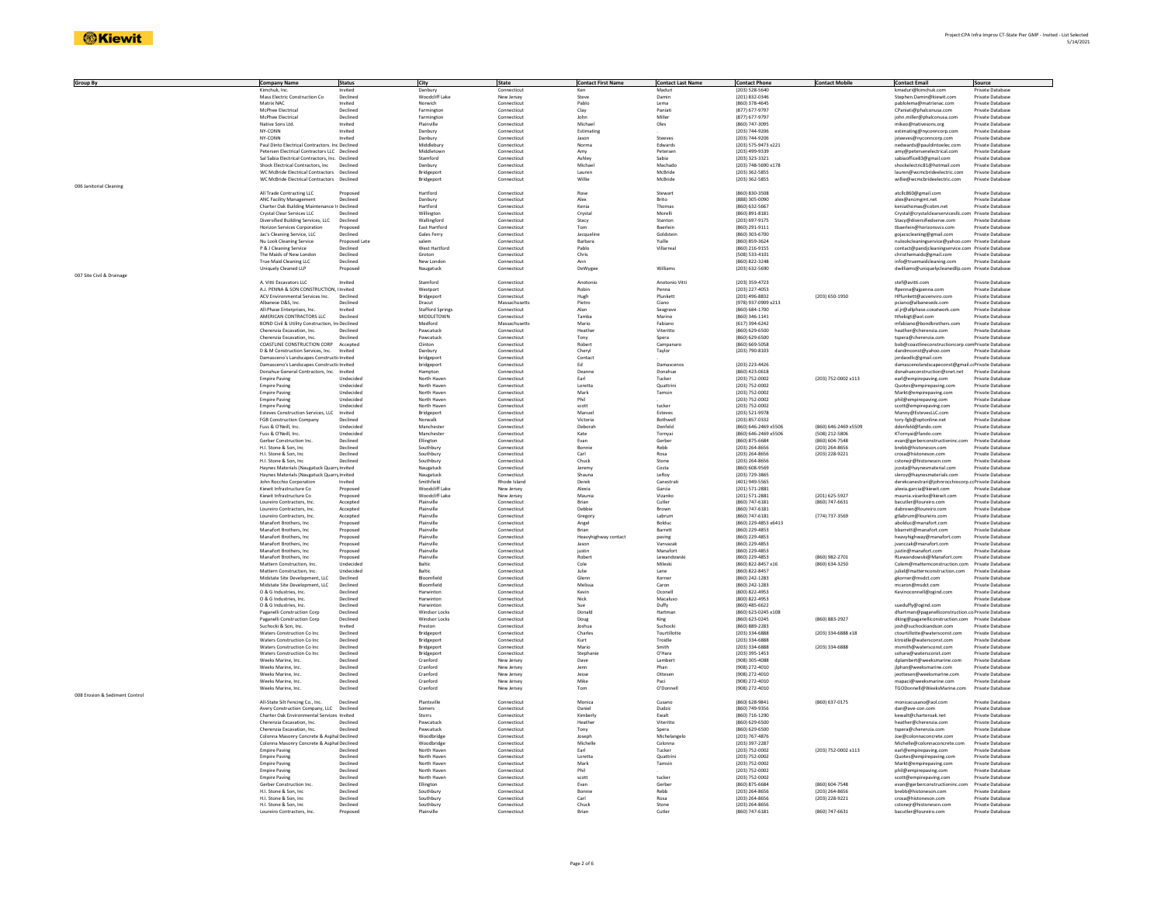| <b>Group By</b>                | <b>Company Name</b>                                          | <b>Status</b>        | City                                         | State                       | <b>Contact First Name</b> | <b>Contact Last Name</b> | <b>Contact Phone</b>                  | <b>Contact Mobile</b> | <b>Contact Email</b>                                       | Source                               |
|--------------------------------|--------------------------------------------------------------|----------------------|----------------------------------------------|-----------------------------|---------------------------|--------------------------|---------------------------------------|-----------------------|------------------------------------------------------------|--------------------------------------|
|                                |                                                              | Declined             |                                              | Connectio                   |                           | Damin                    | $(203) 528 - 5640$                    |                       |                                                            | Private Database                     |
|                                | Mass Electric Construction Co<br>Matrix NAC                  | Invited              | Woodcliff Lake<br>Norwich                    | New Jersey<br>Connecticut   | Steve<br>Pablo            | Lema                     | (201) 832-0346<br>(860) 378-4645      |                       | Stephen.Damin@kiewit.com<br>pablolema@matrixnac.com        | Private Database                     |
|                                |                                                              |                      |                                              |                             |                           |                          | (877) 677-9797                        |                       |                                                            |                                      |
|                                | McPhee Electrical<br>McPhee Electrica                        | Declined<br>Declined | Farmington<br>Farmington                     | Connecticut<br>Connecticu   | Clay                      | Paniati<br>Mille         | (877) 677-9797                        |                       | CPaniati@phalconusa.com<br>john.miller@phalconusa.con      | Private Database<br>Private Database |
|                                | Native Sons Ltd.                                             | Invited              | Plainville                                   | Connecticut                 | Michael                   | Oles                     | (860) 747-3095                        |                       | mikeo@nativesons.org                                       | Private Database                     |
|                                | NY-CONN                                                      | Invited              | Danbury                                      | Connecticut                 | Estimating                |                          | (203) 744-9206                        |                       | estimating@nyconncorp.com                                  | Private Database                     |
|                                | NY-CONN                                                      | Invited              | Danbury                                      | Connecticut                 | Jason                     | Steeves                  | (203) 744-9206                        |                       | isteeves@nyconncorp.com                                    | Private Database                     |
|                                | Paul Dinto Electrical Contractors. Inc Declined              |                      | Middlebun                                    | Connecticut                 | Norma                     | Edwards                  | (203) 575-9473 x221                   |                       | nedwards@pauldintoelec.con                                 | Private Database                     |
|                                | Petersen Electrical Contractors LLC Declined                 |                      | Middletow                                    | Connecticut                 | Amy                       | Peterser                 | (203) 499-9339                        |                       | amy@petersenelectrical.com                                 | Private Database                     |
|                                | Sal Sabia Electrical Contractors, Inc. Declined              |                      | Stamford                                     | Connecticut                 | Ashley                    | Sahia                    | (203) 323-3321                        |                       | sabiaoffice83@gmail.com                                    | Private Database                     |
|                                | Shock Electrical Contractors, Inc Declined                   |                      | Danbury                                      | Connecticut                 | Michael                   | Machado                  | (203) 748-5690 x178                   |                       | shockelectric81@hotmail.com                                | Private Database                     |
|                                | WC McBride Electrical Contractors Declined                   |                      | Bridgeport                                   | Connecticut                 | Lauren                    | McBride                  | $(203)$ 362-5855                      |                       | lauren@wcmcbrideelectric.com                               | Private Database                     |
|                                | WC McBride Electrical Contractors Declined                   |                      | Bridgeport                                   | Connecticut                 | Willie                    | McBride                  | (203) 362-5855                        |                       | willie@wcmcbrideelectric.com                               | Private Database                     |
| 006 Janitorial Cleaning        |                                                              |                      |                                              |                             |                           |                          |                                       |                       |                                                            |                                      |
|                                | All Trade Contracting LLC                                    | Proposed             | Hartford                                     | Connecticut                 | Rose                      | Stewart                  | (860) 830-3508                        |                       | atclic860@gmail.com                                        | Private Database                     |
|                                | <b>ANC Facility Management</b>                               | Declined             | Danbury                                      | Connecticut                 | Alex                      | Brito                    | (888) 305-0090                        |                       | alex@ancmgmt.net                                           | Private Database                     |
|                                | Charter Oak Building Maintenance In Declined                 |                      | Hartford                                     | Connecticut                 | Kenia                     | Thomas                   | (860) 632-5667                        |                       | keniathomas@cobm.net                                       | Private Database                     |
|                                | Crystal Clear Services LLC                                   | Declined             | Willington                                   | Connecticut                 | Crystal                   | Morelli                  | $(860) 891 - 8181$                    |                       | Crystal@crystalclearservicesllc.com                        | Private Database                     |
|                                | Diversified Building Services, LLC                           | Declined             | Wallingford                                  | Connecticut                 | Stacy                     | Stanton                  | (203) 697-9175                        |                       | Stacy@diversifiedserve.com                                 | Private Database                     |
|                                | Horizon Services Corporation                                 | Proposed<br>Declined | East Hartford<br>Gales Ferry                 | Connecticut<br>Connecticut  | Tom                       | Baerlein<br>Goldsteir    | (860) 291-9111<br>(860) 303-6700      |                       | tbaerlein@horizonsvcs.com                                  | Private Database<br>Private Database |
|                                | Jac's Cleaning Service, LLC<br>Nu Look Cleaning Service      | Proposed Lat         | salem                                        | Connecticut                 | Jacquel<br>Barbara        | Yuille                   | (860) 859-3624                        |                       | gojacscleaning@gmail.com<br>ulookcleaningservice@yahoo.com | Private Database                     |
|                                | P & J Cleaning Service                                       | Declined             | <b>West Hartford</b>                         | Connecticut                 | Pablo                     | Villarreal               | (860) 216-9155                        |                       | contact@pandjcleaningservice.com Private Database          |                                      |
|                                | The Maids of New London                                      | Declined             | Groton                                       | Connecticut                 | Chris                     |                          | (508) 533-4101                        |                       | christhemaids@gmail.com                                    | Private Database                     |
|                                | True Maid Cleaning LLC                                       | Declined             | New Londor                                   | Connecticut                 |                           |                          | (860) 822-3248                        |                       | info@truemaidcleaning.com                                  | Private Database                     |
|                                | Uniquely Cleaned LLP                                         | Proposer             | Naugatuck                                    | Connecticut                 | DeWygee                   | Williams                 | (203) 632-5690                        |                       | dwilliams@uniquelycleanedllp.com                           | Private Database                     |
| 007 Site Civil & Drainage      |                                                              |                      |                                              |                             |                           |                          |                                       |                       |                                                            |                                      |
|                                | A. Vitti Excavators LLC                                      | Invited              | Stamford                                     | Connecticut                 | Anotonio                  | Anotonio Vitti           | (203) 359-4723                        |                       | stef@avitti.com                                            | Private Database                     |
|                                | A.J. PENNA & SON CONSTRUCTION, I Invited                     |                      | Westport                                     | Connecticut                 | Robin                     | Penna                    | (203) 227-4053                        |                       | Rpenna@ajpenna.com                                         | Private Database                     |
|                                | ACV Environmental Services Inc.                              | Declined             | Bridgeport                                   | Connecticut                 | Hugh                      | Plunkett                 | $(203)$ 496-8832                      | (203) 650-1950        | HPlunkett@acvenviro.com                                    | Private Database                     |
|                                | Albanese D&S, Inc.                                           | Declined             | Dracut                                       | Massachusetts               | Pietro                    | Ciano                    | (978) 937-0909 x213                   |                       | pciano@albaneseds.com                                      | Private Database                     |
|                                | All-Phase Enternrises Inc.                                   | Invited              | Stafford Springs                             | Connecticut                 | Alan                      | Seagrave                 | (860) 684-1700                        |                       | al.ir@allphase.coxatwork.com                               | Private Database                     |
|                                | AMERICAN CONTRACTORS LLC                                     | Declined             | MIDDLETOWN                                   | Connecticut                 | Tamba                     | Marino                   | (860) 346-1141                        |                       | tthebigt@aol.com                                           | Private Database                     |
|                                | BOND Civil & Utility Construction, In Declined               |                      | Medford                                      | Massachusetts               | Mario                     | Fabiano                  | (617) 394-6242                        |                       | mfabiano@bondbrothers.com                                  | Private Database                     |
|                                | Cherenzia Excavation, Inc.                                   | Declined             | Pawcatuck                                    | Connecticut                 | Heathe                    | Viteritto                | (860) 629-6500                        |                       | heather@cherenzia.com                                      | Private Database                     |
|                                | Cherenzia Excavation, Inc.                                   | Declined             | Pawcatuck                                    | Connecticut                 | Tony                      | Spera                    | (860) 629-6500                        |                       | tspera@cherenzia.com                                       | Private Database                     |
|                                | COASTLINE CONSTRUCTION CORP Accepted                         |                      | Clinton                                      | Connecticut                 | Robert                    | Campanaro                | (860) 669-5058                        |                       | bob@coastlineconstructioncorp.com Private Database         |                                      |
|                                | D & M Construction Services, Inc. Invited                    |                      | Danbury                                      | Connecticut                 | Cheryl                    | Taylor                   | (203) 790-8103                        |                       | dandmconst@yahoo.com                                       | Private Database                     |
|                                | Damasceno's Landscapes Constructic Invited                   |                      | bridgepor                                    | Connecticut                 | Contact                   |                          |                                       |                       | jordaodic@gmail.com                                        | Private Database                     |
|                                | Damasceno's Landscapes Constructic Invited                   |                      | bridgeport                                   | Connecticut                 | Ed                        | Damasceno:               | (203) 223-4426                        |                       | damascenolandscapeconst@gmail.crPrivate Database           |                                      |
|                                | Donahue General Contractors, Inc. Invited                    |                      | Hampton                                      | Connecticut                 | Deanne                    | Donahue                  | (860) 423-0618                        |                       | donahueconstruction@snet.net                               | Private Database                     |
|                                | Empire Paving                                                | Undecided            | North Haven                                  | Connecticut                 | Earl                      | Tucker                   | (203) 752-0002                        | (203) 752-0002 x113   | earl@empirepaving.com                                      | Private Database                     |
|                                | <b>Empire Paving</b>                                         | Undecided            | North Haven                                  | Connecticut                 | Loretta                   | Quattrin                 | (203) 752-0002                        |                       | Quotes@empirepaving.com                                    | Private Database                     |
|                                | <b>Empire Paving</b>                                         | Undecided            | North Haven                                  | Connecticut                 | Mark                      | Tamsin                   | (203) 752-0002                        |                       | Markt@empirepaving.com                                     | Private Database                     |
|                                | <b>Empire Paving</b>                                         | Undecided            | North Haven                                  | Connecticut                 | Phil                      |                          | (203) 752-0002                        |                       | phil@empirepaving.com                                      | Private Database                     |
|                                | <b>Empire Paving</b>                                         | Undecided            | North Haven                                  | Connecticut                 | scott                     | tucker                   | (203) 752-0002                        |                       | scott@empirepaving.com                                     | Private Database                     |
|                                | Esteves Construction Services, LLC Invited                   |                      | Bridgeport                                   | Connecticut                 | Manuel                    | Esteves                  | (203) 521-9978                        |                       | Manny@EstevesLLC.com                                       | Private Database                     |
|                                | <b>FGB Construction Company</b>                              | Declined             | Norwalk                                      | Connecticut                 | Victoria                  | Rothwel                  | (203) 857-0332                        |                       | tory-fgb@optonline.net                                     | Private Database                     |
|                                | Fuss & O'Neill, Inc.                                         | Undecided            | Manchester                                   | Connecticut                 | Deborah                   | Denfeld                  | (860) 646-2469 x5506                  | P022x P346-2469 (038) | ddenfeld@fando.com                                         | Private Database                     |
|                                | Fuss & O'Neill, Inc.                                         | Undecided            | Manchester                                   | Connecticut                 | Kate                      | Tornyai                  | (860) 646-2469 x5506                  | (508) 212-5806        | KTornyai@fando.com                                         | Private Database                     |
|                                | Gerber Construction Inc                                      | Declined             | Ellington                                    | Connecticut                 | Evan                      | Gerber                   | $(860) 875 - 6684$                    | (860) 604-7548        | evan@gerberconstructioninc.com                             | Private Database                     |
|                                | H.I. Stone & Son, Inc                                        | Declined             | Southbur                                     | Connecticut                 | Bonnie                    | Rebb                     | $(203) 264 - 8656$                    | (203) 264-8656        | brebb@histoneson.com                                       | Private Database                     |
|                                | H.I. Stone & Son, Inc                                        | Declined             | Southbur                                     | Connecticut                 | Carl                      | Rosa                     | (203) 264-8656                        | (203) 228-9221        | crosa@histoneson.com                                       | Private Database                     |
|                                | H.I. Stone & Son. Inc.                                       | Declined             | Southbury                                    | Connecticut                 | Chuck                     | Stone                    | (203) 264-8656                        |                       | cstoneir@histoneson.com                                    | Private Database                     |
|                                | Haynes Materials (Naugatuck Quarry Invited                   |                      | Naugatuck                                    | Connecticut                 | Jeremy                    | Costa                    | (860) 608-9569                        |                       | jcosta@haynesmaterial.com                                  | Private Database                     |
|                                | Haynes Materials (Naugatuck Quarry Invited                   | Invited              | Naugatuck<br>Smithfield                      | Connecticut<br>Rhode Island | Shauna                    | LeRoy                    | (203) 729-3865<br>(401) 949-5565      |                       | sleroy@haynesmaterials.com                                 | Private Database<br>Private Database |
|                                | John Rocchio Corporation<br>Kiewit Infrastructure Co.        | Proposed             | Woodcliff Lake                               | New Jersey                  | Derek<br>Alexia           | Canestrat<br>Garcia      | (201) 571-2881                        |                       | derekcanestrari@johnrocchioc                               | Private Database                     |
|                                | Kiewit Infrastructure Co.                                    | Proposed             | Woodcliff Lake                               | New Jersey                  | Maunia                    | Vizanko                  | (201) 571-2881                        | (201) 625-5927        | alexia.garcia@kiewit.com<br>maunia.vizanko@kiewit.com      | Private Database                     |
|                                | Loureiro Contractors, Inc.                                   | Accepted             | Plainville                                   | Connecticut                 | Brian                     | Cutler                   | $(860) 747 - 6181$                    | (860) 747-6631        | bacutler@loureiro.com                                      | Private Database                     |
|                                | Loureiro Contractors, Inc.                                   | Accepted             | Plainville                                   | Connecticut                 | Debbie                    | Brown                    | $(860) 747 - 6181$                    |                       | dabrown@loureiro.com                                       | Private Database                     |
|                                | Loureiro Contractors, Inc.                                   | Accepted             | Plainville                                   | Connecticut                 | Gregory                   | Labrum                   | (860) 747-6181                        | (774) 737-3569        | etlahrum@loureiro.com                                      | Private Database                     |
|                                | Manafort Brothers, Inc.                                      | Proposed             | Plainville                                   | Connecticut                 | Angel                     | Bolduc                   | (860) 229-4853 x6413                  |                       | abolduc@manafort.com                                       | Private Database                     |
|                                | Manafort Brothers, Inc                                       | Proposed             | Plainville                                   | Connecticut                 | Brian                     | Barrett                  | $(860)$ 229-4853                      |                       | bbarrett@manafort.com                                      | Private Database                     |
|                                | Manafort Brothers, Inc                                       | Proposed             | Plainville                                   | Connecticut                 | Heavyhighway contac       | paving                   | (860) 229-4853                        |                       | heavyhighway@manafort.com                                  | Private Database                     |
|                                | Manafort Brothers, Inc                                       | Proposed             | Plainville                                   | Connecticut                 | Jason                     | Vanyazak                 | (860) 229-4853                        |                       | ivanczak@manafort.com                                      | Private Database                     |
|                                | Manafort Brothers Inc.                                       | Proposed             | Plainville                                   | Connecticut                 | <b>justin</b>             | Manafort                 | (860) 229-4853                        |                       | justin@manafort.com                                        | Private Database                     |
|                                | Manafort Brothers, Inc.                                      | Proposed             | Plainville                                   | Connecticut                 | Robert                    | Lewandowsk               | (860) 229-4853                        | (860) 982-2701        | RLewandowski@Manafort.com                                  | Private Database                     |
|                                | Mattern Construction, Inc.                                   | Undecided            | Baltic                                       | Connecticut                 | Cole                      | Mileski                  | (860) 822-8457 x16                    | (860) 634-3250        | Colem@matternconstruction.com                              | Private Database                     |
|                                | Mattern Construction, Inc                                    | <b>Underided</b>     | Baltic                                       | Connecticut                 | Julie                     | Lane                     | (860) 822-8457                        |                       | juliel@matternconstruction.com                             | <b>Private Database</b>              |
|                                | Midstate Site Development, LLC                               | Declined             | Bloomfield                                   | Connecticut                 | Glenn                     | Korner                   | (860) 242-1283                        |                       | gkorner@msdct.com                                          | Private Database                     |
|                                | Midstate Site Development, LLC                               | Declined             | Bloomfield                                   | Connecticut                 | Melissa                   | Caron                    | (860) 242-1283                        |                       | mcaron@msdct.com                                           | Private Database                     |
|                                | O & G Industries, Inc.                                       | Declined             | Harwintor                                    | Connecticut                 | Kevin                     | Oconell                  | (800) 822-4953                        |                       | Kevinoconnell@ogind.con                                    | Private Database                     |
|                                | O & G Industries, Inc.                                       | Declined             | Harwinton                                    | Connecticut                 | Nick                      | Macaluso                 | (800) 822-4953                        |                       |                                                            | Private Database                     |
|                                | O & G Industries, Inc.                                       | Declined             | Harwinton                                    | Connecticut                 | Sue                       | Duffy                    | (860) 485-6622                        |                       | sueduffy@ogind.com                                         | Private Database                     |
|                                | Paganelli Construction Corp.<br>Paganelli Construction Corp. | Declined<br>Declined | <b>Windsor Locks</b><br><b>Windsor Locks</b> | Connecticut<br>Connecticut  | Donald                    | Hartman                  | (860) 623-0245 x108<br>(860) 623-0245 | (860) 883-2927        | dhartman@paganelliconstruction.co Private Database         | Private Database                     |
|                                |                                                              |                      |                                              |                             | Doug                      | King                     |                                       |                       | dking@paganelliconstruction.com                            |                                      |
|                                | Suchocki & Son, Inc.<br>Waters Construction Co Inc.          | Invited<br>Declined  | Preston<br>Bridgeport                        | Connecticut<br>Connecticut  | Joshua<br>Charles         | Suchock<br>Tourtillotte  | (860) 889-2283<br>(203) 334-6888      | (203) 334-6888 x18    | josh@suchockiandson.com<br>ctourtillotte@watersconst.com   | Private Database<br>Private Database |
|                                | Waters Construction Co Inc.                                  | Declined             | Bridgeport                                   | Connecticut                 | Kurt                      | Troidle                  | (203) 334-6888                        |                       | ktroidle@watersconst.com                                   | Private Database                     |
|                                | Waters Construction Co Inc                                   | Declined             | Bridgeport                                   | Connecticut                 | Mario                     | Smith                    | (203) 334-6888                        | (203) 334-6888        | msmith@watersconst.com                                     | Private Database                     |
|                                | Waters Construction Co Inc                                   | Declined             | Bridgeport                                   | Connecticut                 | Stephani                  | O'Hara                   | $(203)$ 395-1453                      |                       | sohara@watersconst.com                                     | Private Database                     |
|                                | Weeks Marine, Inc.                                           | Declined             | Cranford                                     | New Jersey                  | Dave                      | Lambert                  | (908) 305-4088                        |                       | dplambert@weeksmarine.com                                  | Private Database                     |
|                                | Weeks Marine, Inc.                                           | Declined             | Cranford                                     | New Jersey                  | lenn                      | Phan                     | (908) 272-4010                        |                       | ilphan@weeksmarine.com                                     | Private Database                     |
|                                | Weeks Marine, Inc.                                           | Declined             | Cranford                                     | New Jersey                  | Jesse                     | Ottesen                  | (908) 272-4010                        |                       | jeottesen@weeksmarine.com                                  | Private Database                     |
|                                | Weeks Marine, Inc.                                           | Declined             | Cranford                                     | New Jersey                  | Mike                      | Paci                     | (908) 272-4010                        |                       | mapaci@weeksmarine.com                                     | Private Database                     |
|                                | Weeks Marine, Inc                                            | Declined             | Cranford                                     | New Jersey                  | Tom                       | O'Donnel                 | (908) 272-4010                        |                       | TGODonnell@WeeksMarine.com                                 | Private Database                     |
| 008 Erosion & Sediment Control |                                                              |                      |                                              |                             |                           |                          |                                       |                       |                                                            |                                      |
|                                | All-State Silt Fencing Co., Inc.                             | Declined             | Plantsville                                  | Connecticut                 | Monica                    | Cusano                   | (860) 628-9841                        | (860) 637-0175        | monicacusano@aol.com                                       | Private Database                     |
|                                | Avery Construction Company, LLC Declined                     |                      | Somers                                       | Connecticut                 | Daniel                    | Dudzic                   | (860) 749-9356                        |                       | dan@ave-con.com                                            | Private Database                     |
|                                | Charter Oak Environmental Services Invited                   |                      | Storrs                                       | Connecticut                 | Kimberl                   | Ewalt                    | (860) 716-1290                        |                       | kewalt@charteroak.net                                      | Private Database                     |
|                                | Cherenzia Excavation, Inc.                                   | Declined             | Pawcatuck                                    | Connecticut                 | Heather                   | Viteritto                | (860) 629-6500                        |                       | heather@cherenzia.com                                      | Private Database                     |
|                                | Cherenzia Excavation, Inc.                                   | Declined             | Pawcatuck                                    | Connecticut                 | Tony                      | Spera                    | (860) 629-6500                        |                       | tspera@cherenzia.com                                       | Private Database                     |
|                                | Colonna Masonry Concrete & Asphal Declined                   |                      | Woodbridge                                   | Connecticut                 | Joseph                    | Michelangelo             | (203) 767-4876                        |                       | Joe@colonnaconcrete.com                                    | Private Database                     |
|                                | Colonna Masonry Concrete & Asphal Declined                   |                      | Woodbridge                                   | Connecticut                 | Michelle                  | Colonna                  | $(203) 397 - 2287$                    |                       | Michelle@colonnaconcrete.com                               | Private Database                     |
|                                | <b>Empire Paving</b>                                         | Declined             | North Haven                                  | Connecticut                 | Farl                      | Tucker                   | (203) 752-0002                        | (203) 752-0002 x113   | earl@empirepaving.com                                      | Private Database                     |
|                                | <b>Empire Paving</b>                                         | Declined             | North Haven                                  | Connecticut                 | Loretta                   | Quattrini                | (203) 752-0002                        |                       | Quotes@empirepaving.com                                    | Private Database                     |
|                                | <b>Empire Paving</b>                                         | Declined             | North Haven                                  | Connecticut                 | Mark                      | Tamsin                   | (203) 752-0002                        |                       | Markt@empirepaving.com                                     | Private Database                     |
|                                | <b>Empire Paving</b>                                         | Declined             | North Haven                                  | Connecticut                 | Phil                      |                          | (203) 752-0002                        |                       | phil@empirepaving.com                                      | Private Database                     |
|                                | <b>Empire Paving</b>                                         | Declined             | North Haven                                  | Connecticut                 | scott                     | tucker                   | (203) 752-0002                        |                       | scott@empirepaving.com                                     | Private Database                     |
|                                | Gerber Construction Inc.                                     | Declined             | Ellington                                    | Connecticut                 | Fyan                      | Gerher                   | (860) 875-6684                        | (860) 604-7548        | evan@gerberconstructioninc.con                             | Private Database                     |
|                                | H.I. Stone & Son, Inc.                                       | Declined             | Southbury                                    | Connecticut                 | Bonnie                    | Rebb                     | (203) 264-8656                        | (203) 264-8656        | brebb@histoneson.com                                       | Private Database                     |
|                                | H.I. Stone & Son. Inc.                                       | Declined             | Southbury                                    | Connecticut                 | Carl                      | Rosa                     | (203) 264-8656                        | (203) 228-9221        | crosa@histoneson.com                                       | Private Database                     |
|                                | H.I. Stone & Son, Inc.                                       | Declined             | Southbur                                     | Connecticut                 | Chuck                     | Stone                    | (203) 264-8656                        |                       | cstonejr@histoneson.com                                    | Private Database                     |
|                                | Loureiro Contractors, Inc.                                   | Proposed             | Plainville                                   | Connecticut                 | <b>Brian</b>              | Cutler                   | $(860) 747 - 6181$                    | (860) 747-6631        | bacutler@loureiro.com                                      | Private Database                     |
|                                |                                                              |                      |                                              |                             |                           |                          |                                       |                       |                                                            |                                      |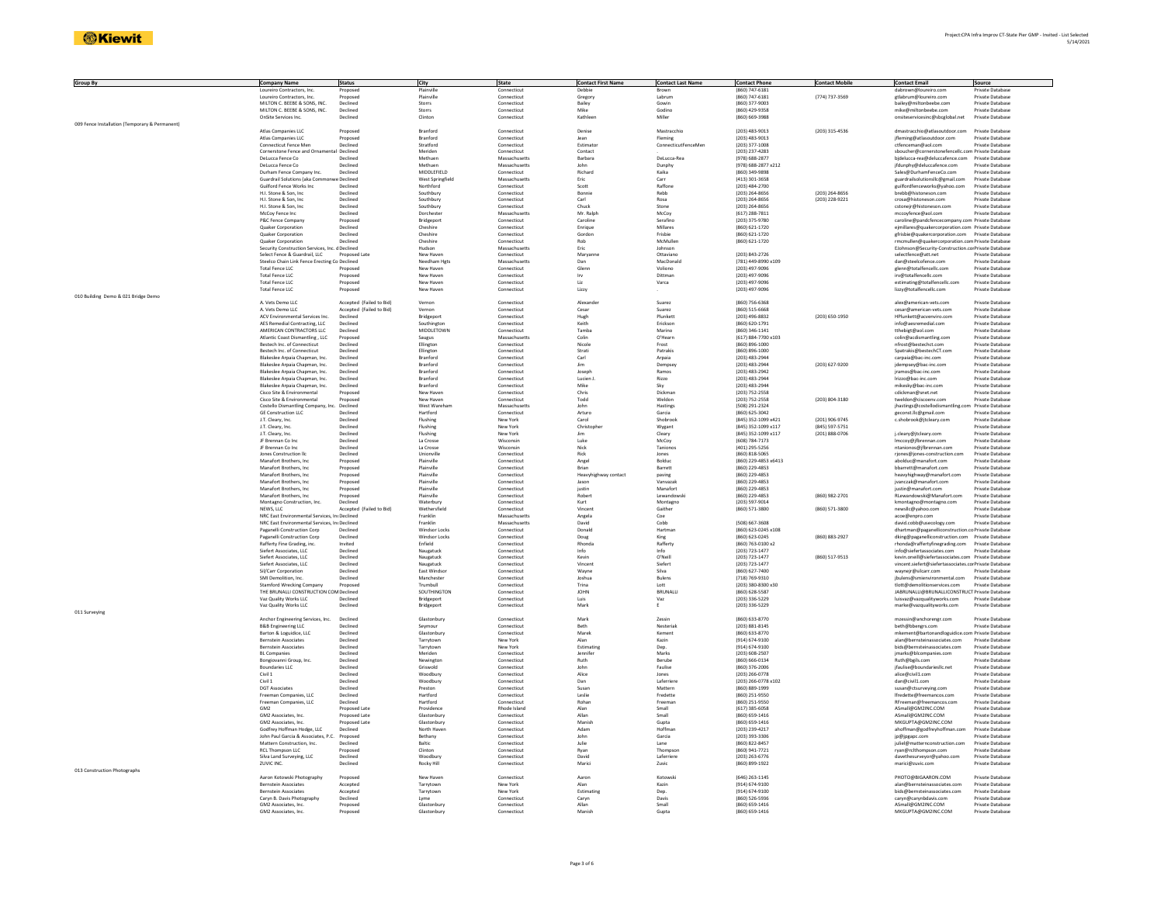| Group By                                       | <b>Company Name</b><br>Contractors, Inc.                         | Status                   | City                       | State<br>Connecticut       | <b>Contact First Name</b><br>Debhi | <b>Contact Last Name</b> | <b>Contact Phone</b><br>(860) 747-6181 | <b>Contact Mobile</b> | <b>Contact Email</b>                                  | Source<br>Private Database           |
|------------------------------------------------|------------------------------------------------------------------|--------------------------|----------------------------|----------------------------|------------------------------------|--------------------------|----------------------------------------|-----------------------|-------------------------------------------------------|--------------------------------------|
|                                                | Loureiro Contractors, Inc.                                       | Proposed                 | Plainville                 | Connecticut                |                                    | Labrum                   | (860) 747-6181                         | (774) 737-3569        | gtlabrum@loureiro.com                                 | Private Database                     |
|                                                | MILTON C. BEEBE & SONS, INC.                                     | Declined                 | Storrs                     | Connecticut                | Gregory<br>Bailey                  | Gowin                    | (860) 377-9003                         |                       | bailey@miltonbeebe.com                                | Private Database                     |
|                                                | MILTON C. BEEBE & SONS, INC.                                     | Declined                 | Storrs                     |                            | Mike                               | Godino                   | (860) 429-9358                         |                       | mike@miltonbeebe.com                                  | Private Database                     |
|                                                | OnSite Services Inc                                              | Declined                 | Clinton                    | Connecticut<br>Connecticut | Kathleen                           | Miller                   | (860) 669-3988                         |                       | onsiteservicesinc@sbcglobal.net                       | Private Database                     |
| 009 Fence Installation (Temporary & Permanent) |                                                                  |                          |                            |                            |                                    |                          |                                        |                       |                                                       |                                      |
|                                                | Atlas Companies LLC                                              | Proposed                 | Branford                   | Connecticut                | Denise                             | Mastracchio              | $(203)$ 483-9013                       | (203) 315-4536        | dmastracchio@atlasoutdoor.com                         | Private Database                     |
|                                                | Atlas Companies LLC                                              | Proposed                 | Branford                   | Connecticut                | Jean                               | Fleming                  | (203) 483-9013                         |                       | jfleming@atlasoutdoor.com                             | Private Database                     |
|                                                | Connecticut Fence Mer                                            | Declined                 | Stratford                  | Connecticut                | Estimato                           | ConnecticutFenceMen      | (203) 377-1008                         |                       | ctfenceman@aol.com                                    | Private Databas                      |
|                                                | Cornerstone Fence and Ornamental Declined                        |                          | Meriden                    | Connecticut                | Contact                            |                          | (203) 237-4283                         |                       | sboucher@cornerstonefencellc.com Private Database     |                                      |
|                                                | DeLucca Fence Co                                                 | Declined                 | Methuen                    | Massachusetts              | Barbara                            | DeLucca-Rea              | (978) 688-2877                         |                       | bidelucca-rea@deluccafence.com                        | Private Database                     |
|                                                | DeLucca Fence Co                                                 | Declined                 | Methuen                    | Massachusetts              | John                               | Dunphy                   | (978) 688-2877 x212                    |                       | jfdunphy@deluccafence.com                             | Private Database                     |
|                                                | Durham Fence Company Inc.                                        | Declined                 | MIDDLEFIELD                | Connecticut                | Richard                            | Kaika                    | (860) 349-9898                         |                       | Sales@DurhamFenceCo.com                               | Private Database                     |
|                                                | Guardrail Solutions (aka Commi                                   | e Declined               | West Springfield           | Massachusetts              | Eric                               | Carr                     | (413) 301-3658                         |                       | guardrailsolutionsllc@gmail.com                       | Private Database                     |
|                                                | Guilford Fence Works Inc.                                        | Declined                 | Northford                  | Connecticut                | Scott                              | Raffone                  | (203) 484-2700                         |                       | guilfordfenceworks@yahoo.com                          | Private Database                     |
|                                                | H.I. Stone & Son. Inc.                                           | Declined                 | Southbury                  | Connecticut                | Bonnie                             | Rebb                     | (203) 264-8656                         | (203) 264-8656        | brebb@histoneson.com                                  | <b>Private Database</b>              |
|                                                | H.I. Stone & Son, Inc                                            | Declined                 | Southbury                  | Connecticut                | Carl                               | Rosa                     | (203) 264-8656                         | (203) 228-9221        | crosa@histoneson.com                                  | Private Database                     |
|                                                | H.I. Stone & Son, Inc                                            | Declined                 | Southbury                  | Connecticut                | Chuck                              | Stone                    | (203) 264-8656                         |                       | cstonejr@histoneson.com                               | Private Database                     |
|                                                | McCov Fence Inc                                                  | Declined                 | Dorcheste                  | Massachusetts              | Mr Rainh                           | McCov                    | (617) 288-7811                         |                       | mccovfence@aol.com                                    | Private Database                     |
|                                                | P&C Fence Company                                                | Proposed                 | Bridgeport                 | Connecticut                | Caroline                           | Serafino                 | (203) 375-9780                         |                       | caroline@pandcfencecompany.com Private Database       |                                      |
|                                                | Quaker Corporation                                               | Declined                 | Cheshire                   | Connecticut                | Enrique                            | Millares                 | (860) 621-1720                         |                       | ejmillares@quakercorporation.com Private Database     |                                      |
|                                                | Quaker Corporation                                               | Declined                 | Cheshire                   | Connecticut                | Gordon                             | Frisbie                  | (860) 621-1720                         |                       | gfrisbie@quakercorporation.com Private Database       |                                      |
|                                                | Quaker Corporation                                               | Declined                 | Cheshire                   | Connecticut                | Rob                                | McMuller                 | (860) 621-1720                         |                       | rmcmullen@quakercorporation.com Private Database      |                                      |
|                                                | Security Construction Services, Inc. d Declined                  |                          | Hudson                     | Massachusetts              | Eric                               | Johnson                  |                                        |                       | EJohnson@Security-Construction.corPrivate Database    |                                      |
|                                                | Select Fence & Guardrail, LLC                                    | Proposed Late            | New Haven                  | Connecticut                | Maryanne                           | Ottaviano                | (203) 843-2726                         |                       | selectfence@att.net                                   | Private Database                     |
|                                                | Steelco Chain Link Fence Erecting Co Declined                    |                          | Needham Hgts               | Massachusett               | Dan                                | MacDonak                 | (781) 449-8990 x109                    |                       | dan@steelcofence.com                                  | rivate Databas                       |
|                                                | Total Fence LLC                                                  | Proposed                 | New Haven                  | Connecticut                | Glenn                              | Voliono                  | (203) 497-9096                         |                       | glenn@totalfencellc.com                               | Private Database                     |
|                                                | <b>Total Fence LLC</b>                                           | Proposed                 | New Haven                  | Connecticut                | Irv                                | Dittman                  | (203) 497-9096                         |                       | irv@totalfencellc.com                                 | Private Database                     |
|                                                | <b>Total Fence LLC</b>                                           | Proposed                 | New Haven                  | Connecticut                | Liz                                | Varca                    | (203) 497-9096                         |                       | estimating@totalfencellc.com                          | Private Database                     |
|                                                | <b>Total Fence LLC</b>                                           | Proposed                 | New Haven                  | Connecticut                | Lizzy                              |                          | (203) 497-9096                         |                       | lizzy@totalfencellc.com                               | Private Database                     |
| 010 Building Demo & 021 Bridge Demo            | A Vets Demo LLC                                                  | Accepted (Failed to Bid) | Vernon                     | Connecticut                | Alexander                          | <b>Suarez</b>            | (860) 756-6368                         |                       |                                                       | Private Database                     |
|                                                |                                                                  |                          |                            |                            |                                    |                          |                                        |                       | alex@american-vets.com                                |                                      |
|                                                | A. Vets Demo LLC                                                 | Accepted (Failed to Bid) | Vernon                     | Connecticut                | Cesar                              | Suarez                   | (860) 515-6668<br>$(203)$ 496-8832     |                       | cesar@american-vets.com                               | Private Database<br>Private Database |
|                                                | ACV Environmental Services Inc.                                  | Declined                 | Bridgeport                 | Connecticut                | Hugh                               | Plunkett                 |                                        | (203) 650-1950        | HPlunkett@acvenviro.com                               |                                      |
|                                                | AES Remedial Contracting, LLC<br>AMERICAN CONTRACTORS LLC        | Decline<br>Declined      | Southington<br>MIDDI FTOWN | Connecticut<br>Connecticut | Keith<br>Tamba                     | Erickson<br>Marino       | (860) 620-1791<br>(860) 346-1141       |                       | info@aesremedial.com<br>tthebigt@aol.com              | Private Database<br>Private Database |
|                                                | Atlantic Coast Dismantling, LLC                                  | Proposed                 |                            | Massachusetts              | Colin                              | O'Hearn                  | (617) 884-7700 x103                    |                       | colin@acdismantling.com                               | Private Database                     |
|                                                |                                                                  |                          | Saugus                     |                            |                                    |                          |                                        |                       |                                                       |                                      |
|                                                | Bestech Inc. of Connecticut<br>Bestech Inc. of Connecticut       | Declined                 | Ellington                  | Connecticut                | Nicole                             | Frost<br>Patrakis        | $(860) 896 - 1000$                     |                       | nfrost@bestechct.com<br>Spatrakis@bestechCT.com       | Private Database<br>Private Database |
|                                                |                                                                  | Declined                 | Ellington<br>Branford      | Connecticut                | Strati                             |                          | (860) 896-1000<br>(203) 483-2944       |                       |                                                       | Private Database                     |
|                                                | Blakeslee Arpaia Chapman, Inc.                                   | Declined<br>Declined     | <b>Branford</b>            | Connecticut<br>Connecticut | Carl<br>Jim                        | Arpaia                   | (203) 483-2944                         |                       | carpaia@bac-inc.com                                   | Private Database                     |
|                                                | Blakeslee Arpaia Chapman, Inc.                                   |                          |                            |                            |                                    | Dempsey                  |                                        | (203) 627-9200        | jdempsey@bac-inc.com                                  |                                      |
|                                                | Blakeslee Arpaia Chapman, Inc.                                   | Declined                 | Branford                   | Connecticut                | Joseph                             | Ramos                    | (203) 483-2942                         |                       | jramos@bac-inc.com                                    | Private Database                     |
|                                                | Blakeslee Arpaia Chapman, Inc.<br>Blakeslee Arpaia Chapman, Inc. | Declined<br>Declined     | Branford<br>Branford       | Connecticut<br>Connecticut | Lucien J.<br>Mike                  | <b>Rizzo</b><br>Sky      | $(203)$ 483-2944                       |                       | Irizzo@bac-inc.com<br>mikesky@bac-inc.com             | Private Database<br>Private Database |
|                                                | Cisco Site & Environmental                                       |                          |                            | Connecticut                | Chris                              | Dickman                  | (203) 483-2944                         |                       |                                                       | Private Database                     |
|                                                | Cisco Site & Environmental                                       | Proposed<br>Proposed     | New Haver<br>New Haven     | Connecticut                | Todd                               | Weldon                   | (203) 752-2558<br>(203) 752-2558       | (203) 804-3180        | cdickman@snet.net<br>tweldon@ciscoenv.com             | Private Database                     |
|                                                | Costello Dismantling Company, Inc. Declined                      |                          | West Warehan               | Massachusetts              | John                               | Hastings                 | (508) 291-2324                         |                       | jhastings@costellodismantling.com                     | Private Database                     |
|                                                | <b>GE Construction LLC</b>                                       | Declined                 | Hartford                   | Connecticut                | Arturo                             | Garcia                   | (860) 625-3042                         |                       | geconst.llc@gmail.com                                 | Private Database                     |
|                                                | J.T. Cleary, Inc.                                                | Declined                 | Flushing                   | New York                   | Carol                              | Shohrook                 | (845) 352-1099 x421                    | (201) 906-9745        | c.shobrook@jtcleary.com                               | Private Database                     |
|                                                | J.T. Cleary, Inc.                                                | Declined                 | Flushing                   | New York                   | Christopher                        | Wygant                   | (845) 352-1099 x117                    | (845) 597-5751        |                                                       | Private Database                     |
|                                                | J.T. Cleary, Inc.                                                | Declined                 | Flushing                   | New York                   | Jim                                | Cleary                   | (845) 352-1099 x117                    | (201) 888-0706        | j.cleary@jtcleary.com                                 | Private Database                     |
|                                                | JF Brennan Co Inc                                                | Declined                 | La Crosse                  |                            | Luke                               | McCoy                    | (608) 784-7173                         |                       | Imccoy@jfbrennan.com                                  | Private Database                     |
|                                                | JF Brennan Co Inc                                                | Declined                 | La Crosse                  | Wisconsin<br>Wisconsin     | Nick                               | Taniono                  | (401) 295-5256                         |                       | ntanionos@jfbrennan.com                               | Private Database                     |
|                                                | Jones Construction Ilo                                           | Declined                 | Unionville                 | Connecticut                | Rick                               | Jones                    | (860) 818-5065                         |                       |                                                       | Private Database                     |
|                                                | Manafort Brothers, Inc.                                          | Proposed                 | Plainville                 | Connecticut                | Angel                              | Bolduc                   | (860) 229-4853 x6413                   |                       | rjones@jones-construction.com<br>abolduc@manafort.com | Private Database                     |
|                                                | Manafort Brothers, Inc.                                          | Proposed                 | Plainville                 | Connecticut                | Brian                              | Barrett                  | (860) 229-4853                         |                       | bbarrett@manafort.com                                 | Private Database                     |
|                                                | Manafort Brothers, Inc                                           | Proposed                 | Plainville                 | Connecticut                | Heavyhighway contact               | paving                   | (860) 229-4853                         |                       | heavyhighway@manafort.com                             | Private Databas                      |
|                                                | Manafort Brothers, Inc.                                          |                          | Plainville                 | Connecticut                | Jason                              | Vanvazak                 | (860) 229-4853                         |                       | jvanczak@manafort.com                                 | Private Database                     |
|                                                | Manafort Brothers, Inc.                                          | Proposed<br>Proposed     | Plainville                 | Connecticut                | justin                             | Manafort                 | (860) 229-4853                         |                       | iustin@manafort.com                                   | <b>Private Database</b>              |
|                                                | Manafort Brothers, Inc.                                          | Proposed                 | Plainville                 | Connecticut                | Robert                             | Lewandowsk               | (860) 229-4853                         | (860) 982-2701        | RLewandowski@Manafort.com                             | Private Database                     |
|                                                | Montagno Construction, Inc.                                      | Declined                 | Waterbury                  | Connecticut                | Kurt                               | Montagno                 | (203) 597-9014                         |                       | kmontagno@montagno.com                                | Private Databas                      |
|                                                | NEWS, LLC                                                        | Accepted (Failed to Bid) | Wethersfield               | Connecticut                | Vincen                             | Gaither                  | (860) 571-3800                         | (860) 571-3800        | newsllc@yahoo.com                                     | Private Database                     |
|                                                | NRC East Environmental Services, IncDeclined                     |                          | Franklin                   | Massachusetts              | Angela                             | Coe                      |                                        |                       | acoe@enpro.com                                        | Private Database                     |
|                                                | NRC East Environmental Services, IncDeclined                     |                          | Franklin                   | Massachusetts              | David                              | Cobb                     | (508) 667-3608                         |                       | david.cobb@usecology.com                              | Private Database                     |
|                                                | Paganelli Construction Corp                                      | Declined                 | Windsor Locks              | Connecticut                | Donald                             | Hartman                  | (860) 623-0245 x108                    |                       | dhartman@paganelliconstruction.co Private Database    |                                      |
|                                                | Paganelli Construction Corp                                      | Declined                 | Windsor Lock               | Connecticut                | Doug                               | King                     | (860) 623-0245                         | (860) 883-2927        | dking@paganelliconstruction.com Private Database      |                                      |
|                                                | Rafferty Fine Grading, inc.                                      | Invited                  | Fnfield                    | Connecticut                | Rhonda                             | Rafferty                 | (860) 763-0100 x2                      |                       | rhonda@raffertyfinegrading.com                        | Private Database                     |
|                                                | Siefert Associates, LLC                                          | Declined                 | Naugatuck                  | Connecticut                | Info                               | Info                     | (203) 723-1477                         |                       | info@siefertassociates.com                            | Private Database                     |
|                                                | Siefert Associates, LLC                                          | Declined                 | Naugatuck                  | Connecticut                | Kevin                              | O'Neill                  | (203) 723-1477                         | (860) 517-9513        | kevin.oneill@siefertassociates.com Private Database   |                                      |
|                                                | Siefert Associates, LLC                                          | Declined                 | Naugatuck                  | Connecticut                | Vincent                            | Siefert                  | (203) 723-1477                         |                       | vincent.siefert@siefertassociates.corPrivate Database |                                      |
|                                                | Sil/Carr Corporation                                             | Declined                 | East Windso                | Connecticut                | Wayne                              | Silva                    | (860) 627-7400                         |                       | waynejr@silcarr.com                                   | Private Database                     |
|                                                | SMI Demolition, Inc.                                             | Declined                 | Manchester                 | Connecticut                | Joshua                             | <b>Bulens</b>            | (718) 769-9310                         |                       | ibulens@smienvironmental.com                          | Private Database                     |
|                                                | <b>Stamford Wrecking Company</b>                                 | Proposed                 | Trumbull                   | Connecticut                | Trina                              | Lott                     | (203) 380-8300 x30                     |                       | tlott@demolitionservices.com                          | Private Database                     |
|                                                | THE BRUNALLI CONSTRUCTION COM Declined                           |                          | SOUTHINGTON                | Connecticut                | JOHN                               | BRUNALL                  | (860) 628-5587                         |                       | JABRUNALLI@BRUNALLICONSTRUCT Private Database         |                                      |
|                                                | Vaz Quality Works LLC                                            | Declined                 | Bridgeport                 | Connecticut                | Luis                               | Vaz                      | (203) 336-5229                         |                       | luisvaz@vazqualityworks.com                           | Private Database                     |
|                                                | Vaz Quality Works LLC                                            | Declined                 | Bridgeport                 | Connecticut                | Mark                               | E                        | (203) 336-5229                         |                       | marke@vazqualityworks.com                             | Private Database                     |
| 011 Surveying                                  |                                                                  |                          |                            |                            |                                    |                          |                                        |                       |                                                       |                                      |
|                                                | Anchor Engineering Services, Inc.                                | Declined                 | Glastonbury                | Connecticut                | Mark                               | Zessin                   | (860) 633-8770                         |                       | mzessin@anchorengr.com                                | Private Database                     |
|                                                | <b>B&amp;B</b> Engineering LLC                                   | Declined                 | Seymour                    | Connecticut                | Beth                               | Nesterial                | (203) 881-8145                         |                       | beth@bbengrs.com                                      | Private Database                     |
|                                                | Barton & Loguidice, LLC                                          | Declined                 | Glastophury                | Connecticut                | Marek                              | Kement                   | (860) 633-8770                         |                       | mkement@bartonandloguidice.com Private Database       |                                      |
|                                                | <b>Bernstein Associates</b>                                      | Declined                 | Tarrytown                  | New York                   | Alan                               | Kazin                    | (914) 674-9100                         |                       | alan@bernsteinassociates.com                          | Private Database                     |
|                                                | <b>Bernstein Associates</b>                                      | Declined                 | Tarrytown                  | New York                   | Estimating                         | Dep.                     | (914) 674-9100                         |                       | bids@bernsteinassociates.com                          | Private Database                     |
|                                                | <b>BL</b> Companies                                              | Declined                 | Meriden                    | Connecticut                | Jennife                            | Marks                    | (203) 608-2507                         |                       | jmarks@blcompanies.com                                | Private Database                     |
|                                                | Bongiovanni Group, Inc.                                          | Declined                 | Newington                  | Connecticut                | Ruth                               | Berube                   | (860) 666-0134                         |                       | Ruth@bgils.com                                        | Private Database                     |
|                                                | <b>Boundaries LLC</b>                                            | Declined                 | Griswold                   | Connecticut                | Inhn                               | Faulise                  | (860) 376-2006                         |                       | jfaulise@boundariesllc.net                            | Private Database                     |
|                                                | Civil 1                                                          | Declined                 | Woodbury                   | Connecticut                | Alice                              | Jones                    | $(203)$ 266-0778                       |                       | alice@civil1.com                                      | Private Database                     |
|                                                | Civil 1                                                          | Declined                 | Woodbury                   | Connecticut                | Dan                                | Laferriere               | (203) 266-0778 x102                    |                       | dan@civil1.com                                        | Private Database                     |
|                                                | <b>DGT Associates</b>                                            | Declined                 | Prestor                    | Connecticut                | Susan                              | Mattern                  | (860) 889-1999                         |                       | susan@ctsurveying.com                                 | Private Database                     |
|                                                | Freeman Companies, LLC                                           | Declined                 | Hartford                   | Connecticut                | Leslie                             | Eredette                 | (860) 251-9550                         |                       | Ifredette@freemancos.com                              | Private Database                     |
|                                                | Freeman Companies, LLC                                           | Declined                 | Hartford                   | Connecticut                | Rohan                              | Freeman                  | (860) 251-9550                         |                       | RFreeman@freemancos.com                               | Private Database                     |
|                                                | GM2                                                              | Proposed Late            | Providence                 | Rhode Island               | Alan                               | Small                    | $(617)$ 385-6058                       |                       | ASmall@GM2INC.COM                                     | Private Database                     |
|                                                | GM2 Associates, Inc.                                             | Proposed Lati            | Glastonbury                | Connecticut                | Allan                              | Small                    | (860) 659-1416                         |                       | ASmall@GM2INC.COM                                     | Private Databas                      |
|                                                | GM2 Associates, Inc.                                             | Proposed Late            | Glastonbury                | Connecticut                | Manish                             | Gupta                    | (860) 659-1416                         |                       | MKGUPTA@GM2INC.COM                                    | Private Database                     |
|                                                | Godfrey Hoffman Hodge, LLC                                       | Declined                 | North Haver                | Connecticut                | Adam                               | Hoffmar                  | (203) 239-4217                         |                       | ahoffman@godfrevhoffman.com                           | Private Database                     |
|                                                | John Paul Garcia & Associates, P.C. Proposed                     |                          | Bethany                    | Connecticut                | John                               | Garcia                   | (203) 393-3306                         |                       | jp@jpgapc.com                                         | Private Database                     |
|                                                | Mattern Construction, Inc.                                       | Declined                 | Baltic                     | Connecticut                | Julie                              | Lane                     | (860) 822-8457                         |                       | juliel@matternconstruction.com                        | Private Database<br>Private Database |
|                                                | <b>RCL Thompson LLC</b>                                          | Proposed                 | Clinton                    | Connecticut                | Ryan                               | Thompson                 | (860) 941-7721                         |                       | ryan@rclthompson.com                                  |                                      |
|                                                | Silva Land Surveying, LLC                                        | Declined                 | Woodbury                   | Connecticut                | David                              | Laferriere               | (203) 263-6776                         |                       | davethesurveyor@yahoo.com                             | Private Database                     |
|                                                | ZUVIC INC.                                                       | Declined                 | Rocky Hill                 | Connecticut                | Marici                             | Zuvic                    | (860) 899-1922                         |                       | marici@zuvic.com                                      | Private Database                     |
| 013 Construction Photograph                    |                                                                  |                          | New Haver                  | Connecticut                | Aaron                              | Kotowski                 | (646) 263-1145                         |                       | PHOTO@BIGAARON.COM                                    | Private Database                     |
|                                                | Aaron Kotowski Photography<br><b>Rernstein Associates</b>        | Proposed<br>Accented     | Tarrytown                  | New York                   | Alan                               | Kazin                    | (914) 674-9100                         |                       | alan@bernsteinassociates.com                          | Private Database                     |
|                                                |                                                                  |                          |                            |                            |                                    |                          | (914) 674-9100                         |                       |                                                       |                                      |
|                                                | <b>Bernstein Associates</b><br>Caryn B. Davis Photography        | Accepted                 | Tarrytown                  | New York<br>Connecticut    | Estimating                         | Dep.<br>Davis            | (860) 526-5936                         |                       | bids@bernsteinassociates.com<br>caryn@carynbdavis.com | Private Database<br>Private Database |
|                                                | GM2 Associates, Inc.                                             | Declined<br>Proposed     | Lyme<br>Glastonbur         | Connecticut                | Caryn<br>Allan                     | Small                    | (860) 659-1416                         |                       | ASmall@GM2INC.COM                                     | Private Databas                      |
|                                                | GM2 Associates, Inc.                                             | Proposed                 | Glastonbur                 | Connecticut                | Manish                             | Gupta                    | (860) 659-1416                         |                       | MKGUPTA@GM2INC.COM                                    | Private Database                     |
|                                                |                                                                  |                          |                            |                            |                                    |                          |                                        |                       |                                                       |                                      |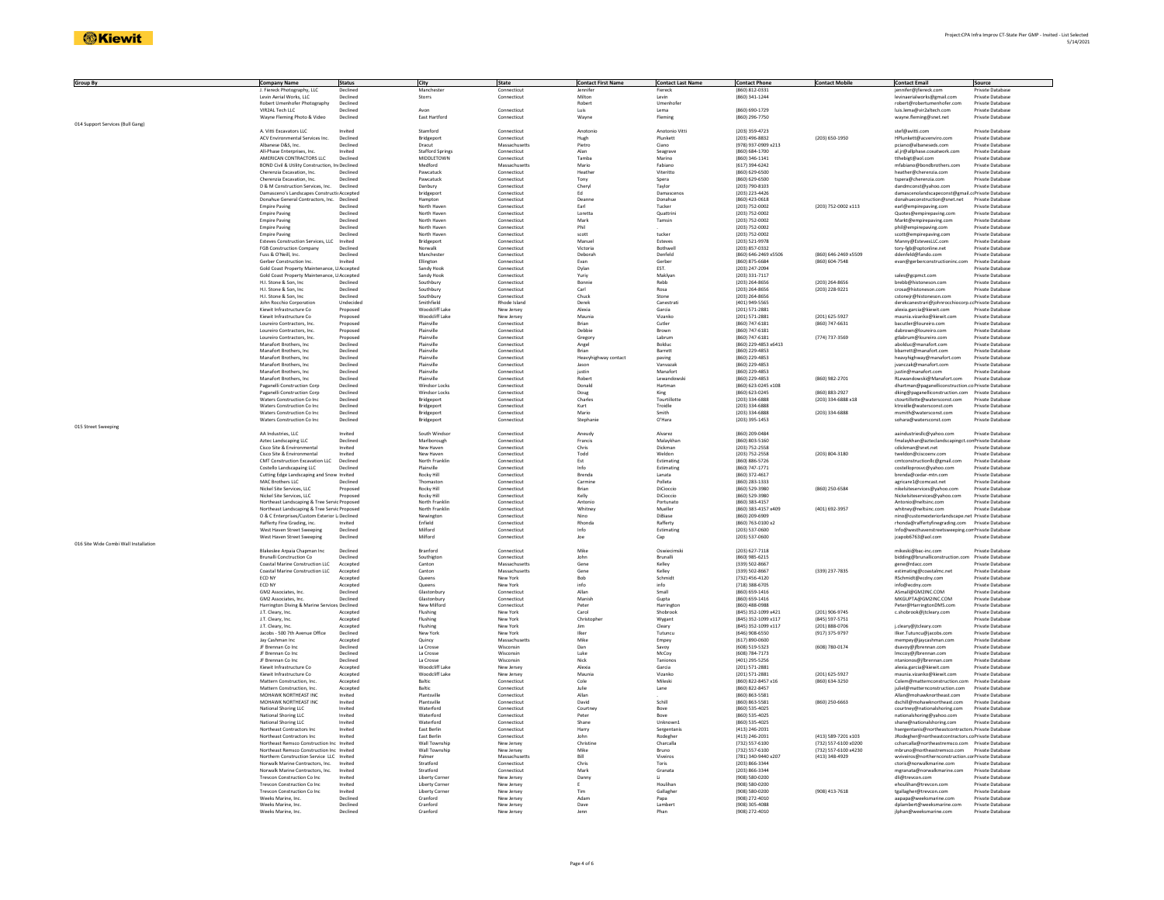| <b>Group By</b>                       | <b>Company Name</b>                            | <b>Status</b> | City                    | State         | <b>Contact First Name</b> | <b>Contact Last Name</b> | <b>Contact Phone</b> | <b>Contact Mobile</b> | <b>Contact Email</b>                                | Source                  |
|---------------------------------------|------------------------------------------------|---------------|-------------------------|---------------|---------------------------|--------------------------|----------------------|-----------------------|-----------------------------------------------------|-------------------------|
|                                       | J. Fiereck Photography, LLC                    |               |                         | Connecticu    |                           | Fiereck                  | (860) 812-0331       |                       | jennifer@jfiereck.con                               | rivate Databas          |
|                                       | Levin Aerial Works, LLC                        | Declined      | Storrs                  | Connecticut   | Milton                    | Levin                    | (860) 341-1244       |                       | levinaerialworks@gmail.com                          | <b>Private Database</b> |
|                                       | Robert Umenhofer Photography                   | Declined      |                         |               | Robert                    | Umenhofe                 |                      |                       | robert@robertumenhofer.com                          | Private Database        |
|                                       |                                                |               |                         |               |                           |                          |                      |                       |                                                     |                         |
|                                       | VIR2AL Tech LLC                                | Declined      | Avon                    | Connecticut   | Luis                      | Lema                     | (860) 690-1729       |                       | luis.lema@vir2altech.com                            | Private Database        |
|                                       | Wayne Fleming Photo & Video                    | Declined      | East Hartford           | Connecticut   | Wayne                     | Fleming                  | (860) 296-7750       |                       | wayne.fleming@snet.net                              | Private Databas         |
| 014 Support Services (Bull Gang)      |                                                |               |                         |               |                           |                          |                      |                       |                                                     |                         |
|                                       | A. Vitti Excavators LLC                        | Invited       | Stamford                | Connecticut   | Anotonio                  | Anotonio Vitti           | (203) 359-4723       |                       | stef@avitti.com                                     | Private Database        |
|                                       | ACV Environmental Services Inc.                | Declined      | Bridgeport              | Connecticut   | Hugh                      | Plunkett                 | (203) 496-8832       | (203) 650-1950        | HPlunkett@acvenviro.com                             | <b>Private Database</b> |
|                                       |                                                |               |                         | Massachusetts |                           |                          | (978) 937-0909 x213  |                       |                                                     |                         |
|                                       | Albanese D&S, Inc.                             | Declined      | Dracut                  |               | Pietro                    | Ciano                    |                      |                       | pciano@albaneseds.com                               | Private Database        |
|                                       | All-Phase Enterprises, Inc.                    | Invited       | <b>Stafford Springs</b> | Connecticut   | Alan                      | Seagrave                 | (860) 684-1700       |                       | al.jr@allphase.coxatwork.com                        | Private Database        |
|                                       | AMERICAN CONTRACTORS LLC                       | Declined      | MIDDI FTOWN             | Connecticut   | Tamba                     | Marino                   | (860) 346-1141       |                       | tthebigt@aol.com                                    | Private Database        |
|                                       | BOND Civil & Utility Construction, IncDeclined |               | Medford                 | Massachusetts | Mario                     | Fabiano                  | (617) 394-6242       |                       | mfabiano@bondbrothers.com                           | Private Database        |
|                                       |                                                |               |                         |               |                           |                          |                      |                       |                                                     |                         |
|                                       | Cherenzia Excavation, Inc.                     | Declined      | Pawcatuck               | Connecticut   | Heather                   | Viteritto                | (860) 629-6500       |                       | heather@cherenzia.com                               | Private Database        |
|                                       | Cherenzia Excavation, Inc.                     | Declined      | Pawcatuck               | Connecticut   | Tony                      | Spera                    | (860) 629-6500       |                       | tspera@cherenzia.com                                | Private Database        |
|                                       | D & M Construction Services, Inc.              | Declined      | Danbury                 | Connecticut   | Cheryl                    | Taylor                   | (203) 790-8103       |                       | dandmconst@yahoo.com                                | Private Database        |
|                                       | Damasceno's Landscapes Constructi Accepted     |               | bridgeport              | Connecticut   | Ed                        | Damascenos               | (203) 223-4426       |                       | damascenolandscapeconst@gmail.crPrivate Database    |                         |
|                                       |                                                |               |                         |               |                           |                          | (860) 423-0618       |                       |                                                     |                         |
|                                       | Donahue General Contractors, Inc. Declined     |               | Hampton                 | Connecticut   | Deanne                    | Donahue                  |                      |                       | donahueconstruction@snet.net                        | Private Database        |
|                                       | <b>Empire Paving</b>                           | Declined      | North Haver             | Connecticut   | Earl                      | Tucker                   | (203) 752-0002       | (203) 752-0002 x113   | earl@empirepaving.com                               | Private Database        |
|                                       | <b>Empire Paving</b>                           | Declined      | North Haver             | Connecticut   | Loretta                   | Quattrini                | (203) 752-0002       |                       | Quotes@empirepaving.con                             | Private Databas         |
|                                       | <b>Empire Paving</b>                           | Declined      | North Haver             | Connecticut   | Mark                      | Tamsin                   | (203) 752-0002       |                       | Markt@empirepaving.com                              | Private Database        |
|                                       | <b>Empire Paving</b>                           | Declined      | North Haven             | Connecticut   | Phil                      |                          | (203) 752-0002       |                       | phil@empirepaving.com                               | <b>Private Database</b> |
|                                       |                                                | Declined      |                         |               |                           | tucker                   | $(203) 752 - 0002$   |                       |                                                     |                         |
|                                       | Empire Paving                                  |               | North Haven             | Connecticut   | scott                     |                          |                      |                       | scott@empirepaving.com                              | Private Database        |
|                                       | Esteves Construction Services, LLC             | Invited       | Bridgeport              | Connecticu    | Manue                     | Esteves                  | (203) 521-9978       |                       | Manny@EstevesLLC.com                                | Private Databas         |
|                                       | FGB Construction Company                       | Declined      | Norwalk                 | Connecticut   | Victoria                  | Rothwel                  | (203) 857-0332       |                       | tory-feb@optonline.net                              | Private Database        |
|                                       | Fuss & O'Neill, Inc.                           | Declined      | Manchester              | Connecticut   | Deborah                   | Denfeld                  | (860) 646-2469 x5506 | (860) 646-2469 x5509  | ddenfeld@fando.com                                  | Private Database        |
|                                       | Gerber Construction Inc.                       | Invited       | Ellington               | Connecticut   | Evan                      | Gerber                   | (860) 875-6684       | (860) 604-7548        | evan@gerberconstructioninc.com                      | Private Database        |
|                                       |                                                |               |                         |               |                           |                          |                      |                       |                                                     |                         |
|                                       | Gold Coast Property Maintenance, LIAccepted    |               | Sandy Hool              | Connecticut   | Dylan                     | EST.                     | (203) 247-2094       |                       |                                                     | Private Database        |
|                                       | Gold Coast Property Maintenance, LIAccepted    |               | Sandy Hook              | Connecticut   | Yuriy                     | Maklyar                  | (203) 331-7117       |                       | sales@gcpmct.com                                    | Private Database        |
|                                       | H.I. Stone & Son. Inc.                         | Declined      | Southbury               | Connecticut   | Bonnie                    | Rehh                     | (203) 264-8656       | (203) 264-8656        | hrehh@histoneson.com                                | Private Database        |
|                                       | H.I. Stone & Son, Inc.                         | Declined      | Southbury               | Connecticut   | Carl                      | Rosa                     | (203) 264-8656       | (203) 228-9221        | crosa@histoneson.com                                | Private Database        |
|                                       |                                                |               |                         |               |                           | Stone                    |                      |                       |                                                     | <b>Private Database</b> |
|                                       | H.I. Stone & Son, Inc.                         | Declined      | Southbury               | Connecticut   | Chuck                     |                          | (203) 264-8656       |                       | cstonejr@histoneson.com                             |                         |
|                                       | John Rocchio Corporation                       | Undecided     | Smithfield              | Rhode Island  | Derel                     | Canestrat                | (401) 949-5565       |                       | derekcanestrari@johnrocchiocorp.                    | cc Private Databas      |
|                                       | Kiewit Infrastructure Co                       | Proposed      | Woodcliff Lak           | New Jersey    | Alexia                    | Garcia                   | (201) 571-2881       |                       | alexia.garcia@kiewit.com                            | Private Database        |
|                                       | Kiewit Infrastructure Co                       | Proposed      | Woodcliff Lake          | New Jersey    | Maunia                    | Vizanko                  | (201) 571-2881       | (201) 625-5927        | maunia.vizanko@kiewit.com                           | <b>Private Database</b> |
|                                       |                                                |               |                         |               |                           |                          |                      |                       |                                                     |                         |
|                                       | Loureiro Contractors, Inc.                     | Proposed      | Plainville              | Connecticut   | Brian                     | Cutler                   | (860) 747-6181       | (860) 747-6631        | bacutler@loureiro.com                               | Private Database        |
|                                       | Loureiro Contractors, Inc                      | Proposed      | Plainville              | Connecticu    | Debbie                    | Brown                    | (860) 747-6181       |                       | dabrown@loureiro.com                                | Private Database        |
|                                       | Loureiro Contractors, Inc                      | Proposed      | Plainville              | Connecticu    | Gregory                   | Labrum                   | (860) 747-6181       | (774) 737-3569        | gtlabrum@loureiro.con                               | Private Databas         |
|                                       | Manafort Brothers, Inc.                        | Declined      | Plainville              | Connecticut   | Angel                     | Bolduc                   | (860) 229-4853 x6413 |                       | abolduc@manafort.com                                | Private Database        |
|                                       |                                                |               |                         |               |                           |                          |                      |                       |                                                     |                         |
|                                       | Manafort Brothers, Inc.                        | Declined      | Plainville              | Connecticut   | Brian                     | Barrett                  | (860) 229-4853       |                       | bbarrett@manafort.com                               | Private Database        |
|                                       | Manafort Brothers, Inc.                        | Declined      | Plainville              | Connecticut   | Heavyhighway contac       | paving                   | (860) 229-4853       |                       | heavyhighway@manafort.com                           | Private Database        |
|                                       | Manafort Brothers, Inc                         | Declined      | Plainville              | Connecticu    | Jason                     | Vanvazak                 | (860) 229-4853       |                       | jvanczak@manafort.com                               | Private Databas         |
|                                       | Manafort Brothers Inc.                         | Declined      | Plainville              | Connecticut   | justin                    | Manafort                 | (860) 229-4853       |                       | justin@manafort.com                                 | Private Database        |
|                                       |                                                |               |                         |               |                           |                          |                      |                       |                                                     |                         |
|                                       | Manafort Brothers, Inc.                        | Declined      | Plainville              | Connecticut   | Robert                    | Lewandowsk               | (860) 229-4853       | (860) 982-2701        | RLewandowski@Manafort.com                           | Private Database        |
|                                       | Paganelli Construction Corp                    | Declined      | Windsor Locks           | Connecticut   | Donald                    | Hartman                  | (860) 623-0245 x108  |                       | dhartman@paganelliconstruction.co Private Database  |                         |
|                                       | Paganelli Construction Corp                    | Declined      | Windsor Lock            | Connecticut   | Doug                      | King                     | (860) 623-0245       | (860) 883-2927        | dking@paganelliconstruction.com                     | Private Database        |
|                                       | Waters Construction Co Ind                     | Declined      | Bridgeport              | Connecticut   | Charle:                   | Tourtillotte             | (203) 334-6888       | (203) 334-6888 x18    | ctourtillotte@watersconst.com                       | Private Database        |
|                                       | Waters Construction Co Inc.                    | Declined      | Bridgeport              | Connecticut   | Kurt                      | Troidle                  | (203) 334-6888       |                       | ktroidle@watersconst.com                            | Private Database        |
|                                       |                                                |               |                         |               |                           |                          |                      |                       |                                                     |                         |
|                                       | Waters Construction Co Inc.                    | Declined      | Bridgeport              | Connecticut   | Mario                     | Smith                    | $(203)$ 334-6888     | (203) 334-6888        | msmith@watersconst.com                              | Private Database        |
|                                       | Waters Construction Co Inc                     | Declined      | Bridgeport              | Connecticu    | Stephanie                 | O'Hara                   | (203) 395-1453       |                       | sohara@watersconst.com                              | Private Database        |
| 015 Street Sweeping                   |                                                |               |                         |               |                           |                          |                      |                       |                                                     |                         |
|                                       | AA Industries, LLC                             | Invited       | South Windson           | Connecticut   | Aneudy                    | Alvarez                  | (860) 209-0484       |                       | aaindustrieslic@yahoo.com                           | Private Database        |
|                                       |                                                |               |                         |               |                           |                          |                      |                       |                                                     |                         |
|                                       | Aztec Landscaping LLC                          | Declined      | Marlborough             | Connecticut   | Francis                   | Malaykhan                | (860) 803-5160       |                       | fmalaykhan@azteclandscapingct.cor Private Database  |                         |
|                                       | Cisco Site & Environmenta                      | Invited       | New Haven               | Connecticut   | Chris                     | Dickman                  | $(203) 752 - 2558$   |                       | cdickman@snet.net                                   | Private Database        |
|                                       | Cisco Site & Environmental                     | Invited       | New Haven               | Connecticu    | Todd                      | Weldon                   | (203) 752-2558       | (203) 804-3180        | tweldon@ciscoenv.com                                | Private Databas         |
|                                       | CMT Construction Excavation LLC Declined       |               | North Franklin          | Connecticut   | Est                       | Estimating               | (860) 886-5726       |                       | cmtconstructionllc@gmail.com                        | Private Database        |
|                                       |                                                |               |                         |               |                           |                          |                      |                       |                                                     |                         |
|                                       | Costello Landscapaing LLC                      | Declined      | Plainville              | Connecticut   | Info                      | Estimating               | (860) 747-1771       |                       | costelloprosvc@yahoo.com                            | Private Database        |
|                                       | Cutting Edge Landscaping and Snow Invited      |               | Rocky Hill              | Connecticut   | Brenda                    | Lanata                   | (860) 372-4617       |                       | brenda@cedar-mtn.com                                | Private Database        |
|                                       | MAC Brothers LLC                               | Declined      | Thomastor               | Connecticut   | Carmine                   | Polleta                  | (860) 283-1333       |                       | agricare1@comcast.net                               | Private Database        |
|                                       | Nickel Site Services, LLC                      | Proposed      | Rocky Hill              | Connecticut   | Brian                     | DiCioccio                | (860) 529-3980       | (860) 250-6584        | nikelsiteservices@yahoo.com                         | Private Database        |
|                                       |                                                |               |                         |               |                           |                          |                      |                       |                                                     |                         |
|                                       | Nickel Site Services, LLC                      | Proposed      | Rocky Hill              | Connecticut   | Kelly                     | DiCioccio                | (860) 529-3980       |                       | Nickelsiteservices@yahoo.com                        | Private Database        |
|                                       | Northeast Landscaping & Tree Servic Proposed   |               | North Franklin          | Connecticut   | Antonio                   | Portunato                | (860) 383-4157       |                       | Antonio@neltsinc.com                                | Private Database        |
|                                       | Northeast Landscaping & Tree Servic Proposed   |               | North Franklin          | Connecticut   | Whitney                   | Mueller                  | (860) 383-4157 x409  | (401) 692-3957        | whitney@neltsinc.com                                | Private Database        |
|                                       | O & C Enterprises/Custom Exterior L Declined   |               | Newington               | Connecticut   | Nino                      | DiBiase                  | (860) 209-6909       |                       | nino@customexteriorlandscape.net Private Databas    |                         |
|                                       |                                                |               |                         |               | Rhonda                    |                          |                      |                       |                                                     |                         |
|                                       | Rafferty Fine Grading, inc.                    | Invited       | Enfield                 | Connecticut   |                           | Rafferty                 | (860) 763-0100 x2    |                       | rhonda@raffertyfinegrading.com Private Database     |                         |
|                                       | West Haven Street Sweeping                     | Declined      | Milford                 | Connecticut   | Info                      | Estimating               | (203) 537-0600       |                       | Info@westhavenstreetsweeping.con Private Database   |                         |
|                                       | West Haven Street Sweeping                     | Declined      | Milford                 | Connecticut   | Joe                       | Cap                      | (203) 537-0600       |                       | jcapob6763@aol.com                                  | Private Database        |
| 016 Site Wide Combi Wall Installation |                                                |               |                         |               |                           |                          |                      |                       |                                                     |                         |
|                                       | Blakeslee Arpaia Chapman Inc                   | Declined      | Branford                | Connecticut   | Mike                      | Oswiecimsk               | (203) 627-7118       |                       | mikeski@bac-inc.com                                 | Private Database        |
|                                       |                                                |               |                         |               |                           |                          |                      |                       |                                                     |                         |
|                                       | Brunalli Conctruction Co                       | Declined      | Southigton              | Connecticut   | John                      | Brunalli                 | (860) 985-6215       |                       | bidding@brunalliconstruction.com                    | Private Database        |
|                                       | Coastal Marine Construction LLC                | Accepted      | Canton                  | Massachusetts | Gene                      | Kelley                   | (339) 502-8667       |                       | gene@rdacc.com                                      | Private Database        |
|                                       | Coastal Marine Construction LLC                | Accepted      | Canton                  | Massachusetts | Gene                      | Kelley                   | (339) 502-8667       | (339) 237-7835        | estimating@coastalmc.net                            | Private Database        |
|                                       | ECD NY                                         | Accepted      | Queens                  | New York      | Bob                       | Schmidt                  | (732) 456-4120       |                       | RSchmidt@ecdny.com                                  | Private Database        |
|                                       | FCD NY                                         | Accepted      | Queens                  | New York      | info                      | info                     | (718) 388-6705       |                       | info@ecdny.com                                      | Private Database        |
|                                       |                                                |               |                         |               |                           |                          |                      |                       |                                                     |                         |
|                                       | GM2 Associates, Inc.                           | Declined      | Glastonbury             | Connecticut   | Allan                     | Small                    | (860) 659-1416       |                       | ASmall@GM2INC.COM                                   | Private Database        |
|                                       | GM2 Associates, Inc                            | Declined      | Glastonbury             | Connecticut   | Manish                    | Gupta                    | (860) 659-1416       |                       | MKGUPTA@GM2INC.COM                                  | Private Database        |
|                                       | Harrington Diving & Marine Services, Declined  |               | New Milford             | Connecticu    | Peter                     | Harringto                | (860) 488-0988       |                       | Peter@HarringtonDMS.com                             | Private Databas         |
|                                       | J.T. Cleary, Inc                               | Accepted      | Flushing                | New York      | Carol                     | Shobrook                 | (845) 352-1099 x42:  | (201) 906-9745        | c.shobrook@jtcleary.com                             | Private Database        |
|                                       | J.T. Cleary, Inc.                              | Accepted      | Flushing                | New York      | Christopher               | Wygant                   | (845) 352-1099 x117  | (845) 597-5751        |                                                     | Private Database        |
|                                       |                                                |               |                         |               |                           |                          |                      |                       |                                                     |                         |
|                                       | J.T. Cleary, Inc.                              | Accepted      | Flushing                | New York      | Jim                       | Cleary                   | (845) 352-1099 x117  | (201) 888-0706        | j.cleary@jtcleary.com                               | Private Database        |
|                                       | Jacobs - 500 7th Avenue Office                 | Declined      | New York                | New York      | liker                     | Tutuncu                  | (646) 908-6550       | (917) 375-9797        | Ilker.Tutuncu@jacobs.com                            | Private Databas         |
|                                       | Jay Cashman Inc                                | Accepted      | Quincy                  | Massachusett  | Mike                      | Empey                    | (617) 890-0600       |                       | mempey@jaycashman.com                               | Private Databas         |
|                                       | JF Brennan Co Inc                              | Declined      | La Crosse               | Wisconsin     | Dan                       | Savov                    | (608) 519-5323       | (608) 780-0174        | dsavoy@jfbrennan.com                                | Private Database        |
|                                       |                                                |               |                         |               |                           |                          |                      |                       |                                                     |                         |
|                                       | JF Brennan Co Inc.                             | Declined      | La Crosse               | Wisconsin     | Luke                      | McCov                    | (608) 784-7173       |                       | Imccov@ifbrennan.com                                | <b>Private Database</b> |
|                                       | JF Brennan Co Inc                              | Declined      | La Crosse               | Wisconsin     | Nick                      | Tanionos                 | (401) 295-5256       |                       | ntanionos@jfbrennan.com                             | Private Database        |
|                                       | Kiewit Infrastructure Co                       | Accepted      | Woodcliff Lake          | New Jersey    | Alexia                    | Garcia                   | (201) 571-2881       |                       | alexia.garcia@kiewit.com                            | Private Databas         |
|                                       | Kiewit Infrastructure Co                       | Accepted      | Woodcliff Lake          | New Jersey    | Maunia                    | Vizanko                  | (201) 571-2881       | (201) 625-5927        | maunia.vizanko@kiewit.com                           | Private Database        |
|                                       | Mattern Construction, Inc.                     | Accepted      | Baltic                  | Connecticut   | Cole                      | Mileski                  | (860) 822-8457 x16   |                       | Colem@matternconstruction.com                       | Private Database        |
|                                       |                                                |               |                         |               |                           |                          |                      | (860) 634-3250        |                                                     |                         |
|                                       | Mattern Construction, Inc.                     | Accepted      | Baltic                  | Connecticut   | Julie                     | Lane                     | (860) 822-8457       |                       | juliel@matternconstruction.com                      | Private Database        |
|                                       | MOHAWK NORTHEAST INC                           | Invited       | Plantsville             | Connecticut   | Allan                     |                          | (860) 863-5581       |                       | Allan@mohawknortheast.com                           | Private Database        |
|                                       | MOHAWK NORTHEAST INC                           | Invited       | Plantsville             | Connecticut   | David                     | Schill                   | (860) 863-5581       | (860) 250-6663        | dschill@mohawknortheast.com                         | Private Database        |
|                                       | National Shoring LLC                           | Invited       | Waterford               | Connecticut   | Courtney                  | Rove                     | (860) 535-4025       |                       |                                                     | Private Database        |
|                                       |                                                |               |                         |               |                           |                          |                      |                       | courtney@nationalshoring.com                        |                         |
|                                       | National Shoring LLC                           | Invited       | Waterford               | Connecticut   | Peter                     | Bove                     | (860) 535-4025       |                       | nationalshoring@yahoo.com                           | Private Database        |
|                                       | National Shoring LLC                           | Invited       | Waterford               | Connecticut   | Shane                     | Unknown1                 | (860) 535-4025       |                       | shane@nationalshoring.com                           | Private Database        |
|                                       | Northeast Contractors Inc                      | Invited       | East Berlin             | Connecticut   | Harry                     | Sergentani               | (413) 246-2031       |                       | hsergentanis@northeastcontractors. Private Database |                         |
|                                       |                                                | Invited       | East Berlin             | Connecticut   | John                      |                          | (413) 246-2031       | (413) 589-7201 x103   |                                                     |                         |
|                                       | Northeast Contractors Inc                      |               |                         |               |                           | Rodegher                 |                      |                       | JRodegher@northeastcontractors.coPrivate Database   |                         |
|                                       | Northeast Remsco Construction Inc Invited      |               | Wall Township           | New Jersey    | Christine                 | Charcalla                | (732) 557-6100       | (732) 557-6100 x0200  | ccharcalla@northeastremsco.com Private Database     |                         |
|                                       | Northeast Remsco Construction Inc Invited      |               | Wall Township           | New Jersey    | Mike                      | Bruno                    | $(732) 557 - 6100$   | (732) 557-6100 x4230  | mbruno@northeastremsco.com                          | Private Database        |
|                                       | Northern Construction Service LLC Invited      |               | Palmer                  | Massachusett  | Bill                      | Viveiros                 | (781) 340-9440 x207  | (413) 348-4929        | wviveiros@northernconstruction.conPrivate Database  |                         |
|                                       | Norwalk Marine Contractors, Inc.               | Invited       | Stratford               | Connecticut   | Chris                     | Toris                    | (203) 866-3344       |                       | ctoris@norwalkmarine.com                            | Private Database        |
|                                       | Norwalk Marine Contractors, Inc.               | Invited       | Stratford               | Connecticut   | Mark                      | Granata                  | (203) 866-3344       |                       | mgranata@norwalkmarine.com                          | Private Database        |
|                                       |                                                |               |                         |               |                           |                          |                      |                       |                                                     |                         |
|                                       | Trevcon Construction Co Inc                    | Invited       | <b>Liberty Corner</b>   | New Jersey    | Danny                     | u                        | (908) 580-0200       |                       | dli@trevcon.com                                     | Private Database        |
|                                       | Trevcon Construction Co Inc                    | Invited       | <b>Liberty Corne</b>    | New Jersey    |                           | Houlihar                 | (908) 580-0200       |                       | ehoulihan@trevcon.com                               | Private Databas         |
|                                       | Trevcon Construction Co Ind                    | Invited       | Liberty Corne           | New Jersey    | Tim                       | Gallagher                | (908) 580-0200       | (908) 413-7618        | tgallagher@trevcon.com                              | Private Database        |
|                                       | Weeks Marine, Inc.                             | Declined      | Cranford                | New Jersey    | Adam                      | Papa                     | (908) 272-4010       |                       | aanana@weeksmarine.com                              | Private Database        |
|                                       | Weeks Marine, Inc.                             | Declined      | Cranford                | New Jersey    | Dave                      | Lambert                  | (908) 305-4088       |                       | dplambert@weeksmarine.com                           | Private Database        |
|                                       | Weeks Marine, Inc.                             | Declined      | Cranford                |               | Jenn                      | Phan                     | (908) 272-4010       |                       |                                                     | Private Database        |
|                                       |                                                |               |                         | New Jersey    |                           |                          |                      |                       | jlphan@weeksmarine.com                              |                         |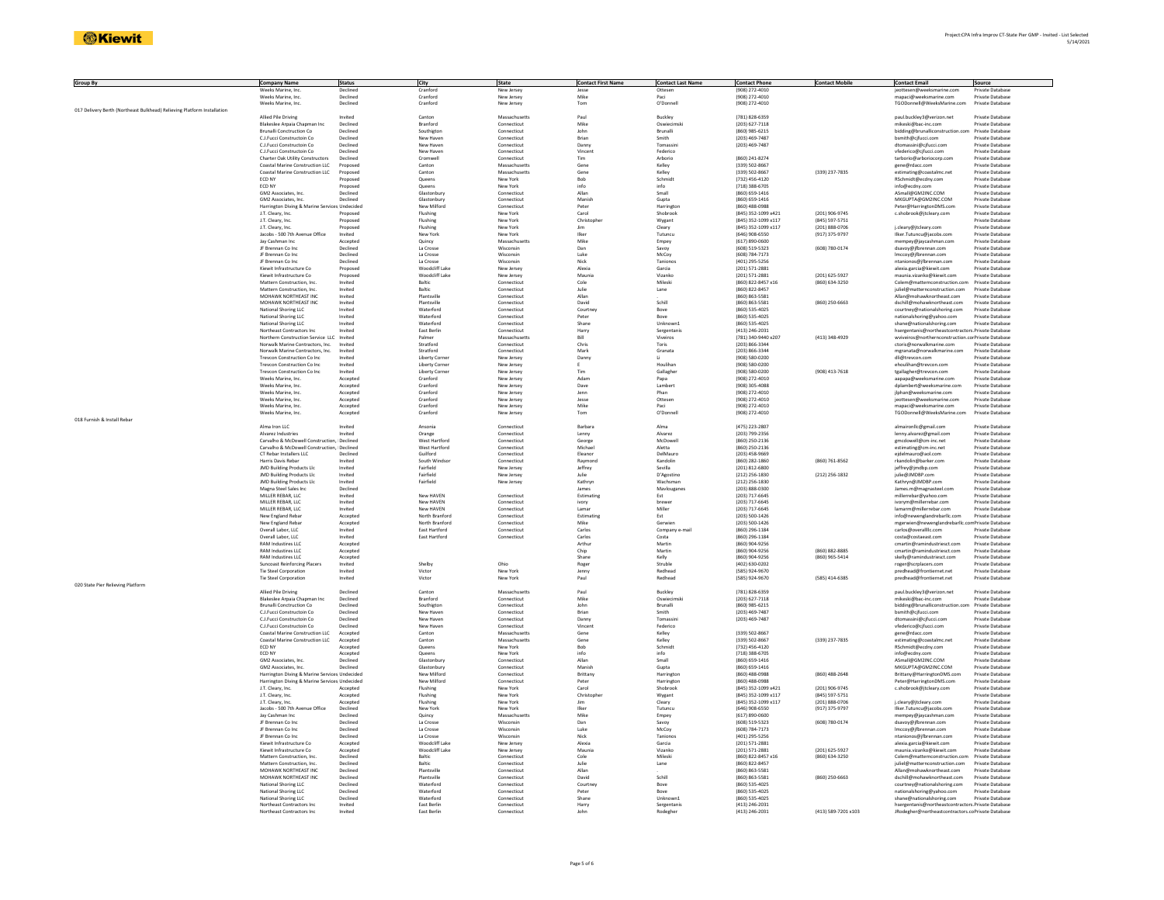| Group By                                                                | <b>Company Name</b>                                                 | <b>Status</b>        | City                             | State                       | <b>Contact First Name</b> | <b>Contact Last Name</b> | <b>Contact Phone</b>                       | <b>Contact Mobile</b>            | <b>Contact Email</b>                                            | Source                               |
|-------------------------------------------------------------------------|---------------------------------------------------------------------|----------------------|----------------------------------|-----------------------------|---------------------------|--------------------------|--------------------------------------------|----------------------------------|-----------------------------------------------------------------|--------------------------------------|
|                                                                         | Weeks Marine, Inc                                                   | Declined             | Cranford                         | New Jersey                  | Jesse<br>Mike             | Ottesen                  | (908) 272-4010                             |                                  | jeottesen@weeksmarine.com                                       | Private Databas                      |
|                                                                         | Weeks Marine, Inc.<br>Weeks Marine, Inc.                            | Declined<br>Declined | Cranford<br>Cranford             | New Jersey<br>New Jersey    | Tom                       | Paci<br>O'Donnell        | (908) 272-4010<br>(908) 272-4010           |                                  | mapaci@weeksmarine.com<br>TGODonnell@WeeksMarine.com            | Private Database<br>Private Database |
| 017 Delivery Berth (Northeast Bulkhead) Relieving Platform Installation |                                                                     |                      |                                  |                             |                           |                          |                                            |                                  |                                                                 |                                      |
|                                                                         | Allied Pile Driving                                                 | Invited              | Canton                           | Massachusetts               | Paul                      | Buckley                  | (781) 828-6359                             |                                  | paul.buckley3@verizon.net                                       | Private Database                     |
|                                                                         | Blakeslee Arpaia Chapman Inc                                        | Declined             | Branford                         | Connecticut                 | Mike                      | Oswiecimsk               | $(203) 627 - 7118$                         |                                  | mikeski@bac-inc.com                                             | Private Database                     |
|                                                                         | <b>Brunalli Conctruction Co</b>                                     | Declined             | Southigtor                       | Connecticut                 | John                      | Brunalli                 | (860) 985-6215                             |                                  | bidding@brunalliconstruction.com                                | Private Database                     |
|                                                                         | C. LEucci Constructoin Co.                                          | Declined             | New Haven                        | Connecticut                 | <b>Brian</b>              | Smith                    | (203) 469-7487                             |                                  | bsmith@cifucci.com                                              | Private Database                     |
|                                                                         | C.J.Fucci Constructoin Co                                           | Declined             | New Haven                        | Connecticut                 | Danny                     | Tomassin                 | (203) 469-7487                             |                                  | dtomassini@cjfucci.com                                          | Private Database                     |
|                                                                         | C.J.Fucci Constructoin Co                                           | Declined             | New Haven                        | Connecticut                 | Vincent                   | Federico                 |                                            |                                  | vfederico@cjfucci.com                                           | Private Database                     |
|                                                                         | Charter Oak Utility Constructors<br>Coastal Marine Construction LLC | Declined             | Cromwell<br>Canton               | Connecticu<br>Massachusetty | Tim<br>Gene               | Arborio<br>Kelley        | (860) 241-8274<br>(339) 502-8667           |                                  | tarborio@arboriocorp.com                                        | Private Databas<br>Private Database  |
|                                                                         | Coastal Marine Construction LLC                                     | Proposed<br>Proposed | Canton                           | Massachusetts               | Gene                      | Kelley                   | (339) 502-8667                             | (339) 237-7835                   | gene@rdacc.com<br>estimating@coastalmc.net                      | Private Database                     |
|                                                                         | ECD NY                                                              | Proposed             | Queens                           | New York                    | Bob                       | Schmidt                  | (732) 456-4120                             |                                  | RSchmidt@ecdny.com                                              | Private Database                     |
|                                                                         | ECD NY                                                              | Proposer             | Queens                           | New York                    | info                      | info                     | (718) 388-6705                             |                                  | info@ecdny.com                                                  | Private Database                     |
|                                                                         | GM2 Associates, Inc                                                 | Declined             | Glastonbur                       | Connecticu                  | Allan                     | Small                    | (860) 659-1416                             |                                  | ASmall@GM2INC.COM                                               | Private Database                     |
|                                                                         | GM2 Associates, Inc.                                                | Declined             | Glastonbur                       | Connecticut                 | Manish                    | Guota                    | (860) 659-1416                             |                                  | MKGUPTA@GM2INC.COM                                              | Private Database                     |
|                                                                         | Harrington Diving & Marine Services Undecided                       |                      | New Milford                      | Connecticut                 | Peter                     | Harrington               | (860) 488-0988                             |                                  | Peter@HarringtonDMS.com                                         | Private Database                     |
|                                                                         | J.T. Cleary, Inc.                                                   | Proposed             | Flushing                         | New York                    | Carol                     | Shobrook                 | (845) 352-1099 x421                        | (201) 906-9745                   | c.shobrook@jtcleary.com                                         | Private Database                     |
|                                                                         | J.T. Cleary, Inc.<br>J.T. Cleary, Inc.                              | Proposed<br>Pronosed | Flushing<br>Flushing             | New York<br>New York        | Christophe<br>lim         | Wygant                   | (845) 352-1099 x117<br>(845) 352-1099 x117 | (845) 597-5751<br>(201) 888-0706 |                                                                 | Private Databas<br>Private Database  |
|                                                                         | Jacobs - 500 7th Avenue Office                                      | Invited              | New York                         | New York                    | Ilker                     | Cleary<br>Tutuncu        | (646) 908-6550                             | (917) 375-9797                   | j.cleary@jtcleary.com<br>Ilker.Tutuncu@jacobs.com               | Private Database                     |
|                                                                         | Jay Cashman Inc                                                     | Accepted             | Quincy                           | Massachusett:               | Mike                      | Empey                    | (617) 890-0600                             |                                  | mempey@jaycashman.com                                           | Private Database                     |
|                                                                         | JF Brennan Co Inc                                                   | Declined             | La Crosse                        | Wisconsin                   | Dan                       | Savoy                    | (608) 519-5323                             | (608) 780-0174                   | dsavoy@jfbrennan.com                                            | Private Databas                      |
|                                                                         | JF Brennan Co Inc                                                   | Declined             | La Crosse                        | Wisconsin                   | Luke                      | McCoy                    | (608) 784-7173                             |                                  | Imccoy@jfbrennan.com                                            | Private Database                     |
|                                                                         | JF Brennan Co Inc.                                                  | Declined             | La Crosse                        | Wisconsin                   | Nick                      | Tanionos                 | (401) 295-5256                             |                                  | ntanionos@ifbrennan.com                                         | Private Database                     |
|                                                                         | Kiewit Infrastructure Co                                            | Proposed             | Woodcliff Lake                   | New Jersey                  | Alexia                    | Garcia                   | (201) 571-2881                             |                                  | alexia.garcia@kiewit.com                                        | Private Database                     |
|                                                                         | Kiewit Infrastructure Co                                            | Proposer             | Woodcliff Lake                   | New Jersey                  | Maunia                    | Vizanko                  | (201) 571-2881                             | (201) 625-5927                   | naunia.vizanko@kiewit.com                                       | Private Databas                      |
|                                                                         | Mattern Construction, Inc.<br>Mattern Construction, Inc.            | Invited<br>Invited   | Baltic<br>Baltic                 | Connecticu<br>Connecticut   | Cole<br>Julie             | Mileski<br>Lane          | (860) 822-8457 x16<br>(860) 822-8457       | (860) 634-3250                   | Colem@matternconstruction.com<br>iuliel@matternconstruction.com | Private Database<br>Private Database |
|                                                                         | MOHAWK NORTHEAST INC                                                | Invited              | Plantsville                      | Connecticut                 | Allan                     |                          | (860) 863-5581                             |                                  | Allan@mohawknortheast.com                                       | Private Database                     |
|                                                                         | MOHAWK NORTHEAST INC                                                | Invited              | Plantsville                      | Connecticu                  | David                     | Schill                   | (860) 863-5581                             | (860) 250-6663                   | dschill@mohawknortheast.com                                     | Private Database                     |
|                                                                         | National Shoring LLC                                                | Invited              | Waterford                        | Connecticu                  | Courtney                  | Bove                     | (860) 535-4025                             |                                  | courtney@nationalshoring.com                                    | Private Database                     |
|                                                                         | National Shoring LLC                                                | Invited              | Waterford                        | Connecticut                 | Peter                     | Rove                     | (860) 535-4025                             |                                  | nationalshoring@yahoo.com                                       | Private Database                     |
|                                                                         | National Shoring LLC                                                | Invited              | Waterford                        | Connecticut                 | Shane                     | Unknown1                 | (860) 535-4025                             |                                  | shane@nationalshoring.com                                       | Private Database                     |
|                                                                         | Northeast Contractors Inc                                           | Invited              | East Berlin                      | Connecticut                 | Harry                     | Sergentanis              | (413) 246-2031                             |                                  | hsergentanis@northeastcontractors. Private Database             |                                      |
|                                                                         | Northern Construction Service LLC Invited                           |                      | Palmer                           | Massachusett                | Bill                      | Viveiros                 | (781) 340-9440 x207                        | (413) 348-4929                   | wviveiros@northernconstruction.corPrivate Databas               |                                      |
|                                                                         | Norwalk Marine Contractors, Inc.                                    | Invited              | Stratford                        | Connecticut                 | Chris                     | Toris                    | (203) 866-3344                             |                                  | ctoris@norwalkmarine.com                                        | Private Database                     |
|                                                                         | Norwalk Marine Contractors, Inc.<br>Trevcon Construction Co Inc     | Invited              | Stratford<br>Liberty Corner      | Connecticut                 | Mark<br>Danny             | Granata<br>Li            | (203) 866-3344<br>(908) 580-0200           |                                  | mgranata@norwalkmarine.com<br>dli@trevcon.com                   | Private Database<br>Private Database |
|                                                                         | <b>Trevcon Construction Co Inc.</b>                                 | Invited<br>Invited   | <b>Liberty Corne</b>             | New Jersey<br>New Jersey    |                           | Houlihan                 | (908) 580-0200                             |                                  | ehoulihan@trevcon.com                                           | Private Database                     |
|                                                                         | Trevcon Construction Co Inc.                                        | Invited              | <b>Liberty Corne</b>             | New Jersey                  | Tim                       | Gallagher                | (908) 580-0200                             | (908) 413-7618                   | tgallagher@trevcon.com                                          | Private Database                     |
|                                                                         | Weeks Marine, Inc                                                   | Accepted             | Cranford                         | New Jersey                  | Adam                      | Papa                     | (908) 272-4010                             |                                  | aapapa@weeksmarine.com                                          | Private Database                     |
|                                                                         | Weeks Marine, Inc.                                                  | Accepted             | Cranford                         | New Jersey                  | Dave                      | Lambert                  | (908) 305-4088                             |                                  | dplambert@weeksmarine.com                                       | Private Database                     |
|                                                                         | Weeks Marine, Inc.                                                  | Accepted             | Cranford                         | New Jersey                  | Jenn                      | Phan                     | (908) 272-4010                             |                                  | jlphan@weeksmarine.com                                          | Private Database                     |
|                                                                         | Weeks Marine, Inc.                                                  | Accepted             | Cranford                         | New Jersey                  | Jesse                     | Otteser                  | (908) 272-4010                             |                                  | jeottesen@weeksmarine.com                                       | Private Databas                      |
|                                                                         | Weeks Marine, Inc.                                                  | Accepted             | Cranford                         | New Jersey                  | Mike                      | Paci                     | (908) 272-4010                             |                                  | mapaci@weeksmarine.com                                          | Private Database                     |
| 018 Furnish & Install Reba                                              | Weeks Marine, Inc.                                                  | Accepted             | Cranford                         | New Jersey                  | Tom                       | O'Donnell                | (908) 272-4010                             |                                  | TGODonnell@WeeksMarine.com                                      | Private Database                     |
|                                                                         | Alma Iron LLC                                                       | Invited              | Ansonia                          | Connecticu                  | Barbara                   | Alma                     | (475) 223-2807                             |                                  | almaironllc@gmail.com                                           | Private Databas                      |
|                                                                         | Alvarez Industries                                                  | Invited              | Orange                           | Connecticut                 | Lenny                     | Alvarez                  | (203) 799-2356                             |                                  | lenny.alvarez@gmail.com                                         | Private Database                     |
|                                                                         | Carvalho & McDowell Construction, I Declined                        |                      | <b>West Hartford</b>             | Connecticut                 | George                    | McDowel                  | (860) 250-2136                             |                                  | emcdowell@cm-inc.net                                            | Private Database                     |
|                                                                         | Carvalho & McDowell Construction, I Declined                        |                      | West Hartford                    | Connecticut                 | Michael                   | Aletta                   | (860) 250-2136                             |                                  | estimating@cm-inc.net                                           | Private Database                     |
|                                                                         | CT Rebar Installers LLC                                             | Declined             | Guilford                         | Connecticu                  | Eleanor                   | DelMauro                 | (203) 458-9669                             |                                  | ejdelmauro@aol.com                                              | Private Database                     |
|                                                                         | Harris Davis Rebar                                                  | Invited              | South Windsor                    | Connecticu                  | Raymond                   | Kandolin                 | (860) 282-1860                             | (860) 761-8562                   | rkandolin@barker.com                                            | Private Database                     |
|                                                                         | <b>JMD Building Products Llc</b>                                    | Invited              | Fairfield                        | New Jersey                  | Jeffrey                   | Sevilla                  | (201) 812-6800                             |                                  | jeffrey@jmdbp.com                                               | Private Database                     |
|                                                                         | <b>JMD Building Products Llc</b>                                    | Invited              | Fairfield                        | New Jersey                  | Julie                     | D'Agostino               | (212) 256-1830                             | $(212)$ 256-1832                 | julie@JMDBP.com                                                 | Private Database                     |
|                                                                         | <b>JMD Building Products Llc</b>                                    | Invited              | Fairfield                        | New Jersey                  | Kathryn                   | Wachsman                 | $(212)$ 256-1830                           |                                  | Kathryn@JMDBP.com                                               | Private Database                     |
|                                                                         | Magna Steel Sales Inc                                               | Declined             | New HAVEN                        |                             | James                     | Mavlougane               | (203) 888-0300                             |                                  | James.m@magnasteel.con                                          | Private Databas                      |
|                                                                         | MILLER REBAR, LLC<br>MILLER REBAR, LLC                              | Invited<br>Invited   | New HAVEN                        | Connecticut<br>Connecticut  | Estimating<br>ivory       | Est<br>brewer            | (203) 717-6645<br>(203) 717-6645           |                                  | millerrebar@yahoo.com<br>ivorym@millerrebar.com                 | Private Database<br>Private Database |
|                                                                         | MILLER REBAR, LLC                                                   | Invited              | New HAVEN                        | Connecticut                 | Lamar                     | Miller                   | (203) 717-6645                             |                                  | lamarm@millerrebar.com                                          | Private Database                     |
|                                                                         | New England Reba                                                    | Accepted             | North Branfor                    | Connecticu                  | Estimating                | Est                      | (203) 500-1426                             |                                  | info@newenglandrebarllc.con                                     | Private Databas                      |
|                                                                         | New England Reba                                                    | Accepted             | North Branford                   | Connecticu                  | Mike                      | Gerwien                  | (203) 500-1426                             |                                  | mgerwien@newenglandrebarllc.o                                   | m Private Database                   |
|                                                                         | Overall Labor, LLC                                                  | Invited              | East Hartford                    | Connecticut                 | Carlos                    | Company e-mail           | (860) 296-1184                             |                                  | carlos@overallllc.com                                           | Private Database                     |
|                                                                         | Overall Labor, LLC                                                  | Invited              | East Hartford                    | Connecticut                 | Carlos                    | Costa                    | (860) 296-1184                             |                                  | costa@costaeast.com                                             | Private Database                     |
|                                                                         | <b>RAM Industires LLC</b>                                           | Accepted             |                                  |                             | Arthur                    | Martin                   | (860) 904-9256                             |                                  | cmartin@ramindustriesct.com                                     | Private Database                     |
|                                                                         | <b>RAM Industires LLC</b>                                           | Accepted             |                                  |                             | Chip                      | Martin                   | (860) 904-9256                             | (860) 882-8885                   | cmartin@ramindustriesct.com                                     | Private Databas                      |
|                                                                         | <b>RAM Industires LLC</b>                                           | Accepted             |                                  |                             | Shane                     | Kelly                    | (860) 904-9256                             | (860) 965-5414                   | skelly@ramindustriesct.com                                      | Private Database                     |
|                                                                         | Suncoast Reinforcing Placers<br><b>Tie Steel Corporation</b>        | Invited<br>Invited   | Shelby<br>Victor                 | Ohio<br>New York            | Roger<br>Jenny            | Struble<br>Redhead       | (402) 630-0202<br>(585) 924-9670           |                                  | roger@scrolacers.com<br>predhead@frontiernet.net                | Private Database<br>Private Database |
|                                                                         | <b>Tie Steel Corporation</b>                                        | Invited              | Victor                           | New York                    | Paul                      | Redhead                  | (585) 924-9670                             | (585) 414-6385                   | predhead@frontiernet.net                                        | Private Databas                      |
| 020 State Pier Relieving Platform                                       |                                                                     |                      |                                  |                             |                           |                          |                                            |                                  |                                                                 |                                      |
|                                                                         | Allied Pile Driving                                                 | Declined             | Canton                           | Massachusetts               | Paul                      | Buckley                  | (781) 828-6359                             |                                  | paul.bucklev3@verizon.net                                       | Private Database                     |
|                                                                         | Blakeslee Arpaia Chapman Inc                                        | Declined             | Branford                         | Connecticut                 | Mike                      | Oswiecimsk               | $(203) 627 - 7118$                         |                                  | mikeski@bac-inc.com                                             | Private Database                     |
|                                                                         | <b>Brunalli Conctruction Co</b>                                     | Declined             | Southigto                        | Connecticu                  | John                      | Brunalli                 | (860) 985-6215                             |                                  | bidding@brunalliconstruction.cor                                | Private Database                     |
|                                                                         | C.J.Fucci Constructoin Co                                           | Declined             | New Haver                        | Connecticut                 | Brian                     | Smith                    | (203) 469-7487                             |                                  | bsmith@cjfucci.com                                              | Private Database                     |
|                                                                         | C.J.Fucci Constructoin Co.<br>C.J. Fucci Constructoin Co            | Declined<br>Declined | New Haven<br>New Haven           | Connecticut<br>Connecticut  | Danny<br>Vincent          | Tomassin<br>Federico     | (203) 469-7487                             |                                  | dtomassini@cifucci.com<br>vfederico@cifucci.com                 | Private Database<br>Private Database |
|                                                                         | Coastal Marine Construction LLC                                     | Accepted             | Canton                           | Massachusett                | Gene                      | Kelley                   | (339) 502-8667                             |                                  | gene@rdacc.com                                                  | Private Database                     |
|                                                                         | Coastal Marine Construction LLC                                     | Accepted             | Canton                           | Massachusett                | Gene                      | Kelley                   | (339) 502-8667                             | (339) 237-7835                   | estimating@coastalmc.net                                        | Private Databas                      |
|                                                                         | FCD NY                                                              | Accepted             | Queens                           | New York                    | Rob                       | Schmidt                  | (732) 456-4120                             |                                  | RSchmidt@ecdny.com                                              | Private Database                     |
|                                                                         | ECD NY                                                              | Accepted             | Queens                           | New York                    | info                      | info                     | (718) 388-6705                             |                                  | info@ecdny.com                                                  | Private Database                     |
|                                                                         | GM2 Associates, Inc.                                                | Declined             | Glastonbur                       | Connecticu                  | Allan                     | Small                    | (860) 659-1416                             |                                  | ASmall@GM2INC.COM                                               | Private Database                     |
|                                                                         | GM2 Associates, Inc                                                 | Declined             | Glastonbur                       | Connecticu                  | Manish                    | Gupta                    | (860) 659-1416                             |                                  | MKGUPTA@GM2INC.COM                                              | Private Databas                      |
|                                                                         | Harrington Diving & Marine Services, Undecided                      |                      | New Milford                      | Connecticut                 | <b>Brittany</b>           | Harrington               | (860) 488-0988                             | (860) 488-2648                   | Brittany@HarringtonDMS.com                                      | Private Database                     |
|                                                                         | Harrington Diving & Marine Services, Undecided                      |                      | New Milford                      | Connecticut                 | Peter                     | Harrington               | (860) 488-0988<br>(845) 352-1099 x421      | (201) 906-9745                   | Peter@HarringtonDMS.com                                         | Private Database                     |
|                                                                         | J.T. Cleary, Inc.<br>J.T. Cleary, Inc.                              | Accepted<br>Accepted | Flushing<br>Flushing             | New York<br>New York        | Carol<br>Christopher      | Shobrook<br>Wygant       | (845) 352-1099 x117                        | (845) 597-5751                   | c.shobrook@jtcleary.com                                         | Private Database<br>Private Database |
|                                                                         | J.T. Cleary, Inc                                                    | Accepted             | Flushing                         | New York                    | Jim                       | Cleary                   | (845) 352-1099 x117                        | (201) 888-0706                   | j.cleary@jtcleary.com                                           | Private Databas                      |
|                                                                         | Jacobs - 500 7th Avenue Office                                      | Declined             | New York                         | New York                    | Ilker                     | Tutunci                  | (646) 908-6550                             | (917) 375-9797                   | Ilker.Tutuncu@jacobs.com                                        | Private Database                     |
|                                                                         | Jay Cashman Inc.                                                    | Declined             | Quincy                           | Massachusetts               | Mike                      | Empey                    | (617) 890-0600                             |                                  | mempey@jaycashman.com                                           | Private Database                     |
|                                                                         | JF Brennan Co Inc.                                                  | Declined             | La Crosse                        | Wisconsin                   | Dan                       | Savoy                    | (608) 519-5323                             | (608) 780-0174                   | dsavoy@jfbrennan.com                                            | Private Database                     |
|                                                                         | JF Brennan Co In                                                    | Declined             | La Crosse                        | Wisconsin                   | Luke                      | McCoy                    | (608) 784-7173                             |                                  | Imccoy@jfbrennan.com                                            | Private Databas                      |
|                                                                         | JF Brennan Co Inc                                                   | Declined             | La Crosse                        | Wisconsin                   | Nick                      | Taniono                  | (401) 295-5256                             |                                  | ntanionos@jfbrennan.com                                         | Private Database                     |
|                                                                         | Kiewit Infrastructure Co<br>Kiewit Infrastructure Co                | Accepted             | Woodcliff Lake<br>Woodcliff Lake | New Jersey                  | Alexia                    | Garcia                   | (201) 571-2881<br>(201) 571-2881           | (201) 625-5927                   | alexia.garcia@kiewit.com                                        | Private Database                     |
|                                                                         | Mattern Construction, Inc                                           | Accepted<br>Declined | Baltic                           | New Jersey<br>Connecticu    | Maunia<br>Cole            | Vizanko<br>Milesk        | (860) 822-8457 x16                         | (860) 634-3250                   | maunia.vizanko@kiewit.com<br>Colem@matternconstruction.com      | Private Database<br>Private Database |
|                                                                         | Mattern Construction Inc.                                           | Declined             | Baltic                           | Connecticut                 | lulie                     | Lane                     | (860) 822-8457                             |                                  | iuliel@matternconstruction.com                                  | Private Database                     |
|                                                                         | MOHAWK NORTHEAST INC                                                | Declined             | Plantsville                      | Connecticut                 | Allan                     |                          | (860) 863-5581                             |                                  | Allan@mohawknortheast.com                                       | Private Database                     |
|                                                                         | MOHAWK NORTHEAST INC                                                | Declined             | Plantsville                      | Connecticut                 | David                     | Schill                   | (860) 863-5581                             | (860) 250-6663                   | dschill@mohawknortheast.com                                     | Private Database                     |
|                                                                         | National Shoring LLC                                                | Declined             | Waterford                        | Connecticu                  | Courtney                  | Bove                     | (860) 535-4025                             |                                  | courtney@nationalshoring.com                                    | Private Database                     |
|                                                                         | National Shoring LLC                                                | Declined             | Waterford                        | Connecticu                  | Peter                     | Boye                     | (860) 535-4025                             |                                  | nationalshoring@yahoo.com                                       | Private Database                     |
|                                                                         | National Shoring LLC                                                | Declined             | Waterford                        | Connecticut                 | Shane                     | Unknown1                 | (860) 535-4025                             |                                  | shane@nationalshoring.com                                       | Private Database                     |
|                                                                         | Northeast Contractors Inc                                           | Invited              | East Berlin                      | Connecticut                 | Harry                     | Sergentanis              | (413) 246-2031                             |                                  | hsergentanis@northeastcontractors. Private Database             |                                      |
|                                                                         | Northeast Contractors Inc                                           | Invited              | East Berlin                      | Connecticut                 | John                      | Rodegher                 | (413) 246-2031                             | (413) 589-7201 x103              | JRodegher@northeastcontractors.coPrivate Database               |                                      |